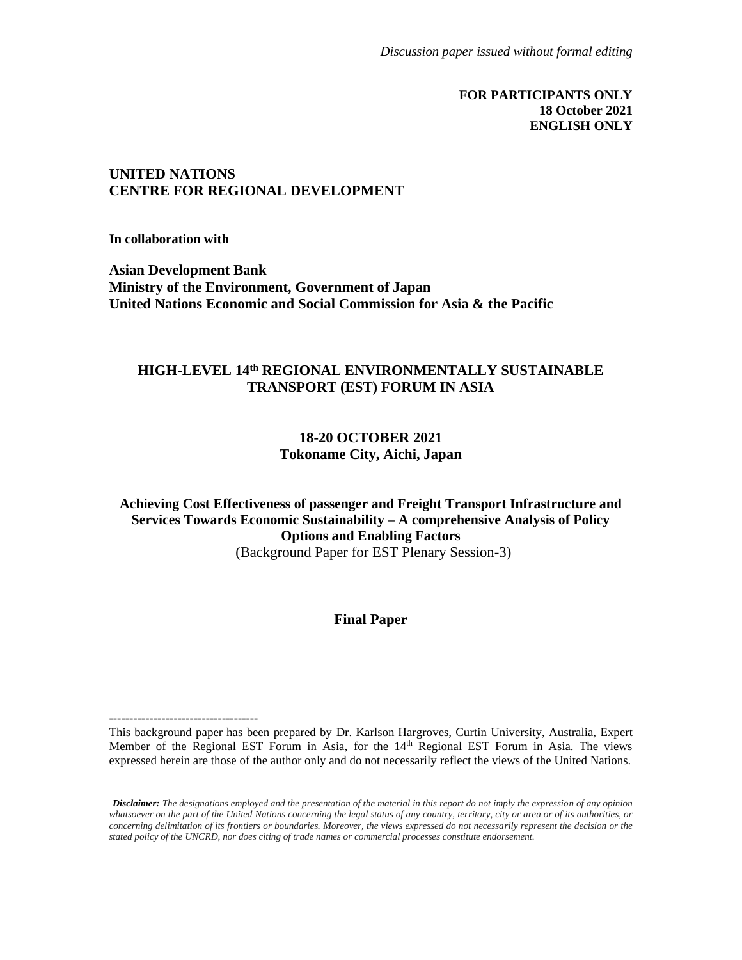#### **FOR PARTICIPANTS ONLY 18 October 2021 ENGLISH ONLY**

#### **UNITED NATIONS CENTRE FOR REGIONAL DEVELOPMENT**

**In collaboration with**

**Asian Development Bank Ministry of the Environment, Government of Japan United Nations Economic and Social Commission for Asia & the Pacific**

#### **HIGH-LEVEL 14 th REGIONAL ENVIRONMENTALLY SUSTAINABLE TRANSPORT (EST) FORUM IN ASIA**

#### **18-20 OCTOBER 2021 Tokoname City, Aichi, Japan**

**Achieving Cost Effectiveness of passenger and Freight Transport Infrastructure and Services Towards Economic Sustainability – A comprehensive Analysis of Policy Options and Enabling Factors** (Background Paper for EST Plenary Session-3)

#### **Final Paper**

*Disclaimer: The designations employed and the presentation of the material in this report do not imply the expression of any opinion whatsoever on the part of the United Nations concerning the legal status of any country, territory, city or area or of its authorities, or concerning delimitation of its frontiers or boundaries. Moreover, the views expressed do not necessarily represent the decision or the stated policy of the UNCRD, nor does citing of trade names or commercial processes constitute endorsement.*

**<sup>-------------------------------------</sup>** This background paper has been prepared by Dr. Karlson Hargroves, Curtin University, Australia, Expert Member of the Regional EST Forum in Asia, for the 14<sup>th</sup> Regional EST Forum in Asia. The views expressed herein are those of the author only and do not necessarily reflect the views of the United Nations.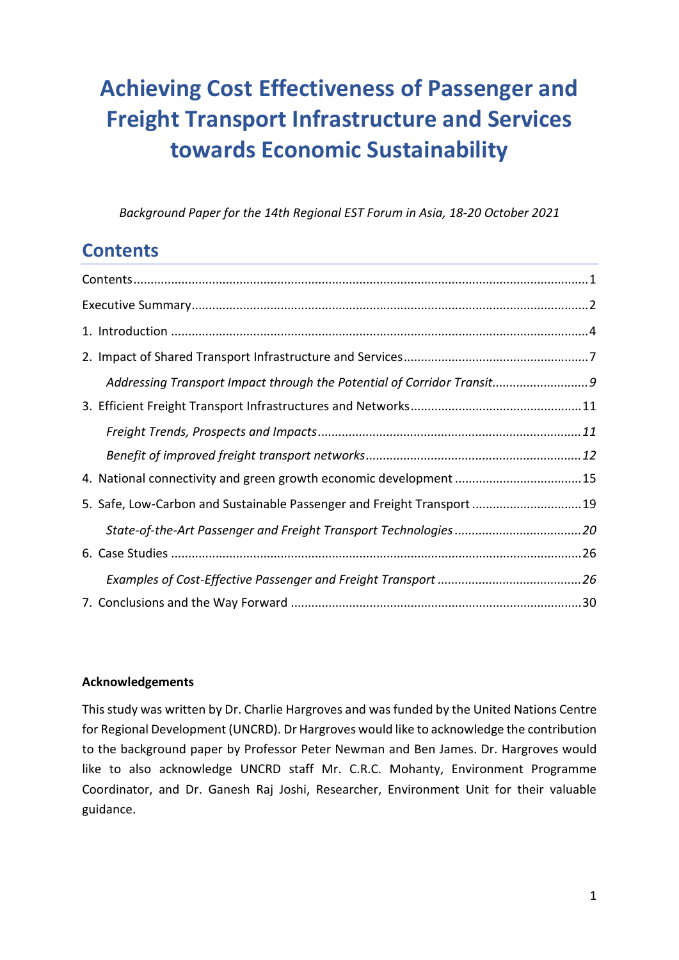# **Achieving Cost Effectiveness of Passenger and Freight Transport Infrastructure and Services towards Economic Sustainability**

*Background Paper for the 14th Regional EST Forum in Asia, 18-20 October 2021*

# <span id="page-1-0"></span>**Contents**

| 4. National connectivity and green growth economic development 15      |  |
|------------------------------------------------------------------------|--|
| 5. Safe, Low-Carbon and Sustainable Passenger and Freight Transport 19 |  |
|                                                                        |  |
|                                                                        |  |
|                                                                        |  |
|                                                                        |  |

#### **Acknowledgements**

This study was written by Dr. Charlie Hargroves and was funded by the United Nations Centre for Regional Development (UNCRD). Dr Hargroves would like to acknowledge the contribution to the background paper by Professor Peter Newman and Ben James. Dr. Hargroves would like to also acknowledge UNCRD staff Mr. C.R.C. Mohanty, Environment Programme Coordinator, and Dr. Ganesh Raj Joshi, Researcher, Environment Unit for their valuable guidance.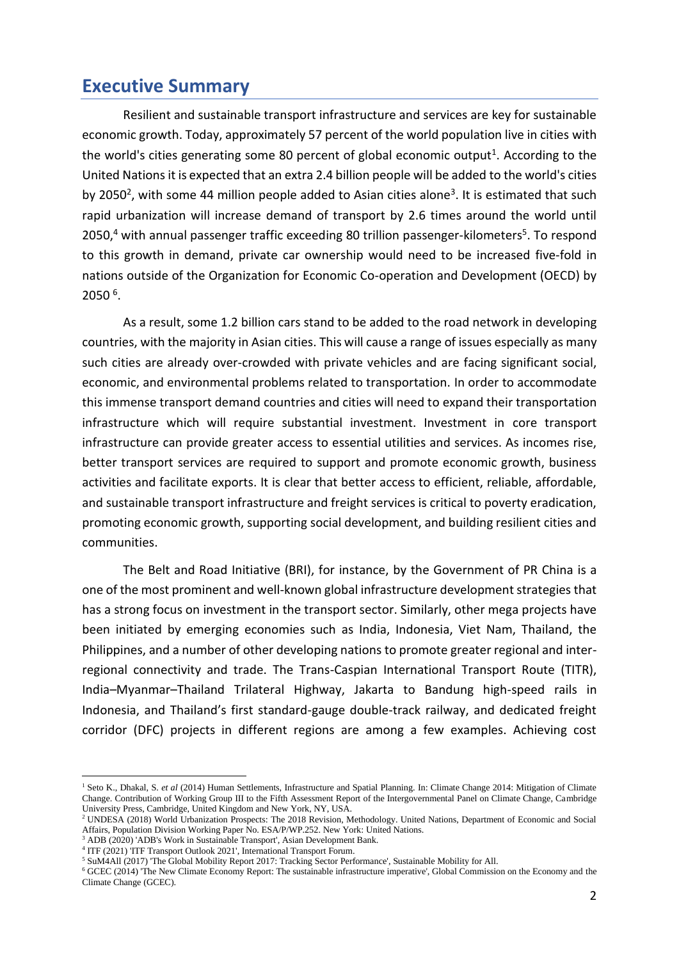### <span id="page-2-0"></span>**Executive Summary**

Resilient and sustainable transport infrastructure and services are key for sustainable economic growth. Today, approximately 57 percent of the world population live in cities with the world's cities generating some 80 percent of global economic output<sup>1</sup>. According to the United Nationsit is expected that an extra 2.4 billion people will be added to the world's cities by 2050<sup>2</sup>, with some 44 million people added to Asian cities alone<sup>3</sup>. It is estimated that such rapid urbanization will increase demand of transport by 2.6 times around the world until 2050,<sup>4</sup> with annual passenger traffic exceeding 80 trillion passenger-kilometers<sup>5</sup>. To respond to this growth in demand, private car ownership would need to be increased five-fold in nations outside of the Organization for Economic Co-operation and Development (OECD) by 2050 <sup>6</sup> .

As a result, some 1.2 billion cars stand to be added to the road network in developing countries, with the majority in Asian cities. This will cause a range of issues especially as many such cities are already over-crowded with private vehicles and are facing significant social, economic, and environmental problems related to transportation. In order to accommodate this immense transport demand countries and cities will need to expand their transportation infrastructure which will require substantial investment. Investment in core transport infrastructure can provide greater access to essential utilities and services. As incomes rise, better transport services are required to support and promote economic growth, business activities and facilitate exports. It is clear that better access to efficient, reliable, affordable, and sustainable transport infrastructure and freight services is critical to poverty eradication, promoting economic growth, supporting social development, and building resilient cities and communities.

The Belt and Road Initiative (BRI), for instance, by the Government of PR China is a one of the most prominent and well-known global infrastructure development strategies that has a strong focus on investment in the transport sector. Similarly, other mega projects have been initiated by emerging economies such as India, Indonesia, Viet Nam, Thailand, the Philippines, and a number of other developing nations to promote greater regional and interregional connectivity and trade. The Trans-Caspian International Transport Route (TITR), India–Myanmar–Thailand Trilateral Highway, Jakarta to Bandung high-speed rails in Indonesia, and Thailand's first standard-gauge double-track railway, and dedicated freight corridor (DFC) projects in different regions are among a few examples. Achieving cost

<sup>&</sup>lt;sup>1</sup> Seto K., Dhakal, S. *et al* (2014) Human Settlements, Infrastructure and Spatial Planning. In: Climate Change 2014: Mitigation of Climate Change. Contribution of Working Group III to the Fifth Assessment Report of the Intergovernmental Panel on Climate Change, Cambridge University Press, Cambridge, United Kingdom and New York, NY, USA.

<sup>2</sup> UNDESA (2018) World Urbanization Prospects: The 2018 Revision, Methodology. United Nations, Department of Economic and Social Affairs, Population Division Working Paper No. ESA/P/WP.252. New York: United Nations.

<sup>3</sup> ADB (2020) 'ADB's Work in Sustainable Transport', Asian Development Bank.

<sup>4</sup> ITF (2021) 'ITF Transport Outlook 2021', International Transport Forum.

<sup>5</sup> SuM4All (2017) 'The Global Mobility Report 2017: Tracking Sector Performance', Sustainable Mobility for All.

<sup>6</sup> GCEC (2014) 'The New Climate Economy Report: The sustainable infrastructure imperative', Global Commission on the Economy and the Climate Change (GCEC).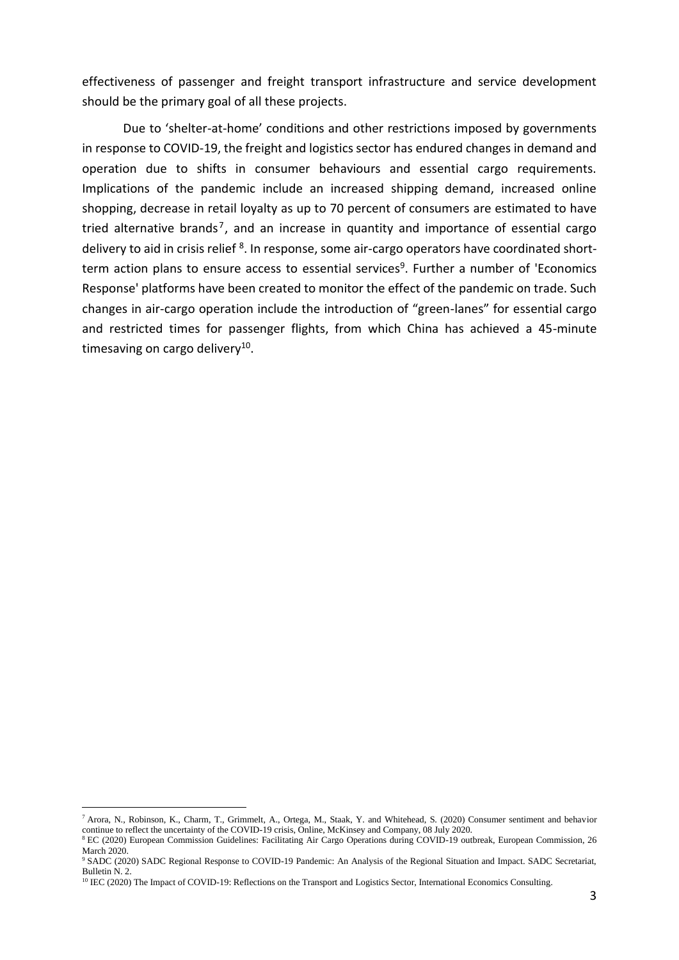effectiveness of passenger and freight transport infrastructure and service development should be the primary goal of all these projects.

Due to 'shelter-at-home' conditions and other restrictions imposed by governments in response to COVID-19, the freight and logistics sector has endured changes in demand and operation due to shifts in consumer behaviours and essential cargo requirements. Implications of the pandemic include an increased shipping demand, increased online shopping, decrease in retail loyalty as up to 70 percent of consumers are estimated to have tried alternative brands<sup>7</sup>, and an increase in quantity and importance of essential cargo delivery to aid in crisis relief <sup>8</sup>. In response, some air-cargo operators have coordinated shortterm action plans to ensure access to essential services<sup>9</sup>. Further a number of 'Economics Response' platforms have been created to monitor the effect of the pandemic on trade. Such changes in air-cargo operation include the introduction of "green-lanes" for essential cargo and restricted times for passenger flights, from which China has achieved a 45-minute timesaving on cargo delivery<sup>10</sup>.

<sup>7</sup> Arora, N., Robinson, K., Charm, T., Grimmelt, A., Ortega, M., Staak, Y. and Whitehead, S. (2020) Consumer sentiment and behavior continue to reflect the uncertainty of the COVID-19 crisis, Online, McKinsey and Company, 08 July 2020.

<sup>8</sup> EC (2020) European Commission Guidelines: Facilitating Air Cargo Operations during COVID-19 outbreak, European Commission, 26 March 2020.

<sup>9</sup> SADC (2020) SADC Regional Response to COVID-19 Pandemic: An Analysis of the Regional Situation and Impact. SADC Secretariat, Bulletin N. 2.

<sup>&</sup>lt;sup>10</sup> IEC (2020) The Impact of COVID-19: Reflections on the Transport and Logistics Sector, International Economics Consulting.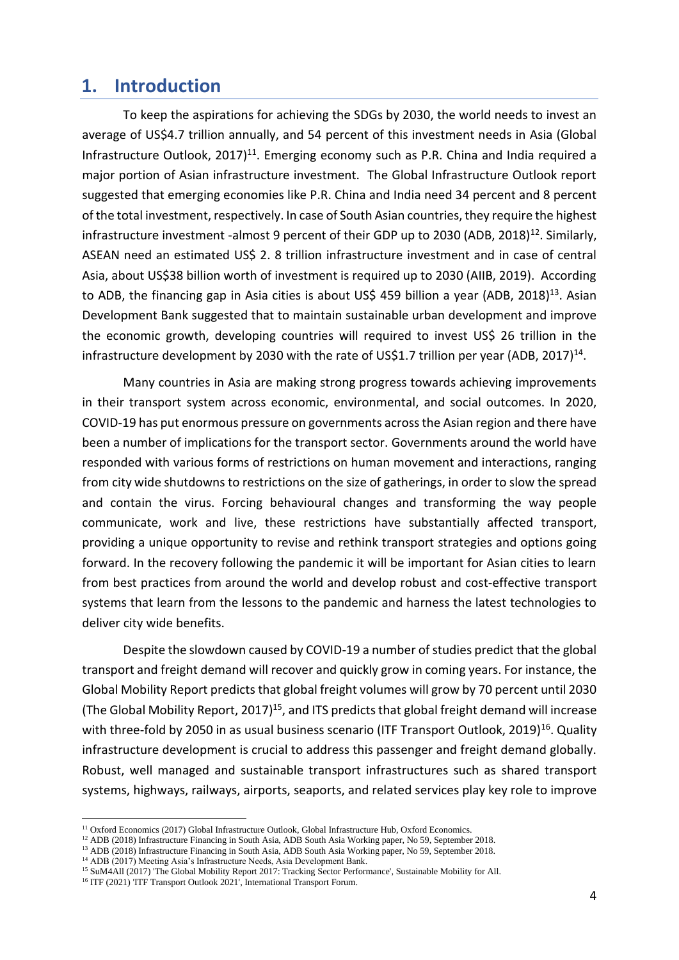### <span id="page-4-0"></span>**1. Introduction**

To keep the aspirations for achieving the SDGs by 2030, the world needs to invest an average of US\$4.7 trillion annually, and 54 percent of this investment needs in Asia (Global Infrastructure Outlook,  $2017$ <sup>11</sup>. Emerging economy such as P.R. China and India required a major portion of Asian infrastructure investment. The Global Infrastructure Outlook report suggested that emerging economies like P.R. China and India need 34 percent and 8 percent of the total investment, respectively. In case of South Asian countries, they require the highest infrastructure investment -almost 9 percent of their GDP up to 2030 (ADB, 2018)<sup>12</sup>. Similarly, ASEAN need an estimated US\$ 2. 8 trillion infrastructure investment and in case of central Asia, about US\$38 billion worth of investment is required up to 2030 (AIIB, 2019). According to ADB, the financing gap in Asia cities is about US\$ 459 billion a year (ADB, 2018)<sup>13</sup>. Asian Development Bank suggested that to maintain sustainable urban development and improve the economic growth, developing countries will required to invest US\$ 26 trillion in the infrastructure development by 2030 with the rate of US\$1.7 trillion per year (ADB, 2017)<sup>14</sup>.

Many countries in Asia are making strong progress towards achieving improvements in their transport system across economic, environmental, and social outcomes. In 2020, COVID-19 has put enormous pressure on governments across the Asian region and there have been a number of implications for the transport sector. Governments around the world have responded with various forms of restrictions on human movement and interactions, ranging from city wide shutdowns to restrictions on the size of gatherings, in order to slow the spread and contain the virus. Forcing behavioural changes and transforming the way people communicate, work and live, these restrictions have substantially affected transport, providing a unique opportunity to revise and rethink transport strategies and options going forward. In the recovery following the pandemic it will be important for Asian cities to learn from best practices from around the world and develop robust and cost-effective transport systems that learn from the lessons to the pandemic and harness the latest technologies to deliver city wide benefits.

Despite the slowdown caused by COVID-19 a number of studies predict that the global transport and freight demand will recover and quickly grow in coming years. For instance, the Global Mobility Report predicts that global freight volumes will grow by 70 percent until 2030 (The Global Mobility Report, 2017)<sup>15</sup>, and ITS predicts that global freight demand will increase with three-fold by 2050 in as usual business scenario (ITF Transport Outlook, 2019)<sup>16</sup>. Quality infrastructure development is crucial to address this passenger and freight demand globally. Robust, well managed and sustainable transport infrastructures such as shared transport systems, highways, railways, airports, seaports, and related services play key role to improve

<sup>&</sup>lt;sup>11</sup> Oxford Economics (2017) Global Infrastructure Outlook, Global Infrastructure Hub, Oxford Economics.

<sup>&</sup>lt;sup>12</sup> ADB (2018) Infrastructure Financing in South Asia, ADB South Asia Working paper, No 59, September 2018.

<sup>&</sup>lt;sup>13</sup> ADB (2018) Infrastructure Financing in South Asia, ADB South Asia Working paper, No 59, September 2018.

<sup>&</sup>lt;sup>14</sup> ADB (2017) Meeting Asia's Infrastructure Needs, Asia Development Bank.

<sup>&</sup>lt;sup>15</sup> SuM4All (2017) 'The Global Mobility Report 2017: Tracking Sector Performance', Sustainable Mobility for All.

<sup>16</sup> ITF (2021) 'ITF Transport Outlook 2021', International Transport Forum.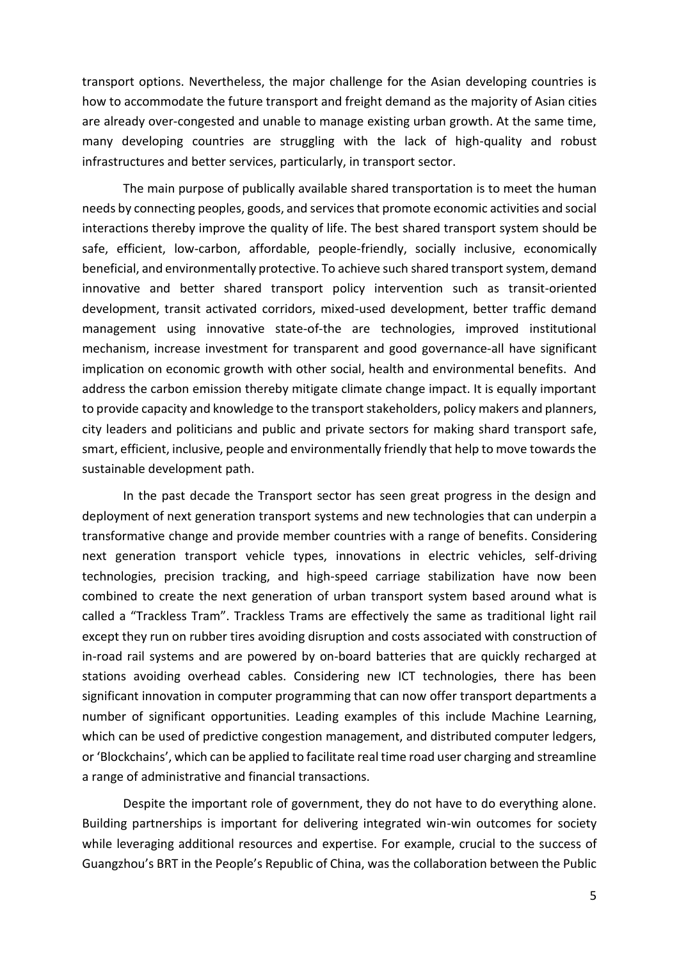transport options. Nevertheless, the major challenge for the Asian developing countries is how to accommodate the future transport and freight demand as the majority of Asian cities are already over-congested and unable to manage existing urban growth. At the same time, many developing countries are struggling with the lack of high-quality and robust infrastructures and better services, particularly, in transport sector.

The main purpose of publically available shared transportation is to meet the human needs by connecting peoples, goods, and services that promote economic activities and social interactions thereby improve the quality of life. The best shared transport system should be safe, efficient, low-carbon, affordable, people-friendly, socially inclusive, economically beneficial, and environmentally protective. To achieve such shared transport system, demand innovative and better shared transport policy intervention such as transit-oriented development, transit activated corridors, mixed-used development, better traffic demand management using innovative state-of-the are technologies, improved institutional mechanism, increase investment for transparent and good governance-all have significant implication on economic growth with other social, health and environmental benefits. And address the carbon emission thereby mitigate climate change impact. It is equally important to provide capacity and knowledge to the transport stakeholders, policy makers and planners, city leaders and politicians and public and private sectors for making shard transport safe, smart, efficient, inclusive, people and environmentally friendly that help to move towards the sustainable development path.

In the past decade the Transport sector has seen great progress in the design and deployment of next generation transport systems and new technologies that can underpin a transformative change and provide member countries with a range of benefits. Considering next generation transport vehicle types, innovations in electric vehicles, self-driving technologies, precision tracking, and high-speed carriage stabilization have now been combined to create the next generation of urban transport system based around what is called a "Trackless Tram". Trackless Trams are effectively the same as traditional light rail except they run on rubber tires avoiding disruption and costs associated with construction of in-road rail systems and are powered by on-board batteries that are quickly recharged at stations avoiding overhead cables. Considering new ICT technologies, there has been significant innovation in computer programming that can now offer transport departments a number of significant opportunities. Leading examples of this include Machine Learning, which can be used of predictive congestion management, and distributed computer ledgers, or 'Blockchains', which can be applied to facilitate real time road user charging and streamline a range of administrative and financial transactions.

Despite the important role of government, they do not have to do everything alone. Building partnerships is important for delivering integrated win-win outcomes for society while leveraging additional resources and expertise. For example, crucial to the success of Guangzhou's BRT in the People's Republic of China, was the collaboration between the Public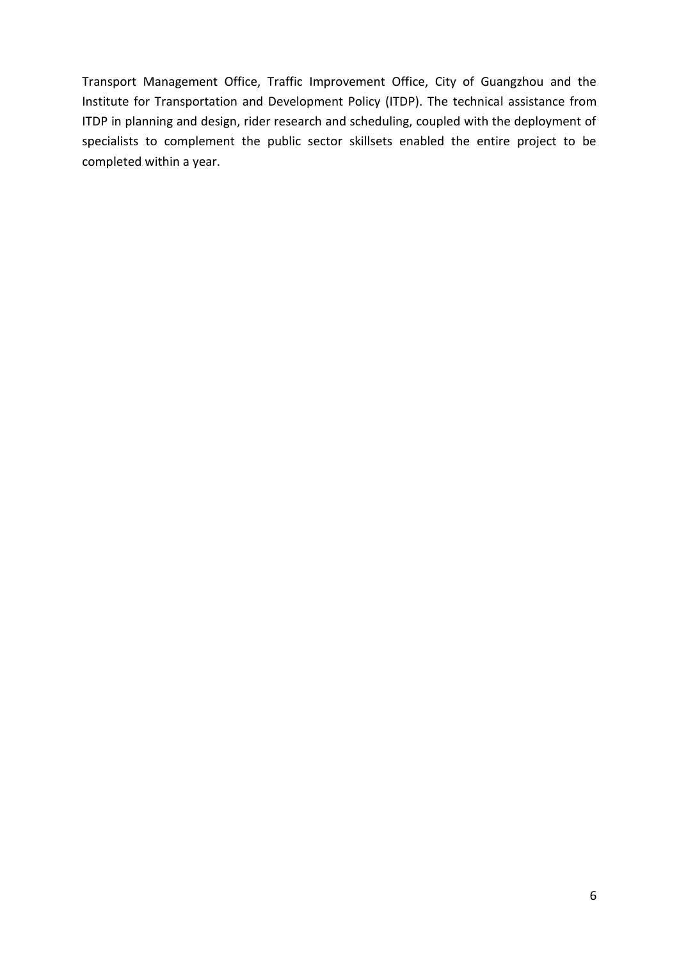Transport Management Office, Traffic Improvement Office, City of Guangzhou and the Institute for Transportation and Development Policy (ITDP). The technical assistance from ITDP in planning and design, rider research and scheduling, coupled with the deployment of specialists to complement the public sector skillsets enabled the entire project to be completed within a year.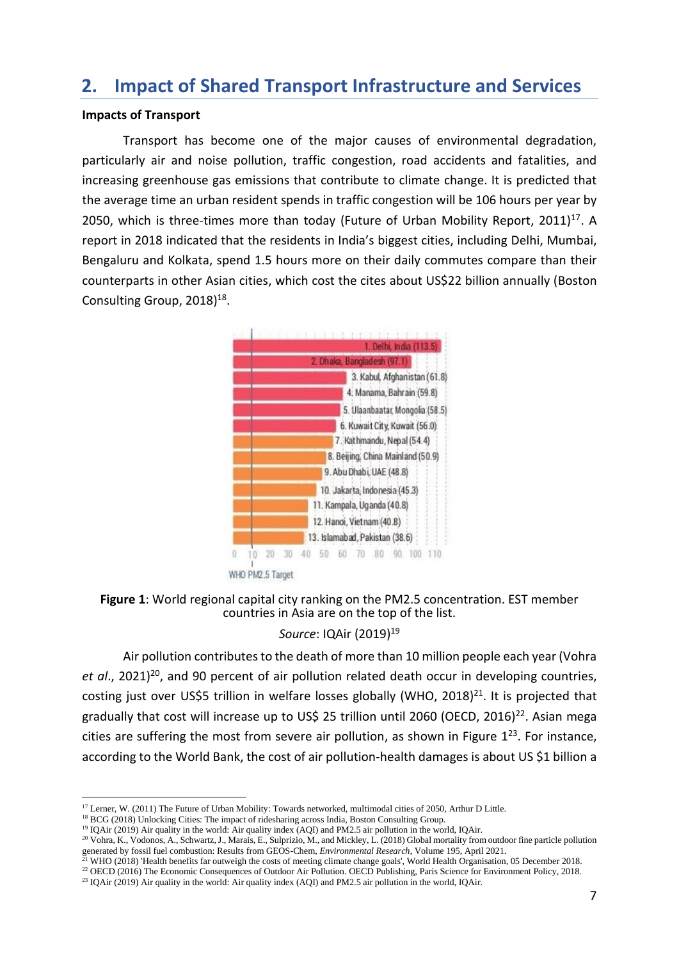# <span id="page-7-0"></span>**2. Impact of Shared Transport Infrastructure and Services**

#### **Impacts of Transport**

Transport has become one of the major causes of environmental degradation, particularly air and noise pollution, traffic congestion, road accidents and fatalities, and increasing greenhouse gas emissions that contribute to climate change. It is predicted that the average time an urban resident spends in traffic congestion will be 106 hours per year by 2050, which is three-times more than today (Future of Urban Mobility Report, 2011)<sup>17</sup>. A report in 2018 indicated that the residents in India's biggest cities, including Delhi, Mumbai, Bengaluru and Kolkata, spend 1.5 hours more on their daily commutes compare than their counterparts in other Asian cities, which cost the cites about US\$22 billion annually (Boston Consulting Group, 2018)<sup>18</sup>.



**Figure 1**: World regional capital city ranking on the PM2.5 concentration. EST member countries in Asia are on the top of the list.

#### *Source*: IQAir (2019) 19

Air pollution contributes to the death of more than 10 million people each year (Vohra et al., 2021)<sup>20</sup>, and 90 percent of air pollution related death occur in developing countries, costing just over US\$5 trillion in welfare losses globally (WHO, 2018)<sup>21</sup>. It is projected that gradually that cost will increase up to US\$ 25 trillion until 2060 (OECD, 2016)<sup>22</sup>. Asian mega cities are suffering the most from severe air pollution, as shown in Figure  $1^{23}$ . For instance, according to the World Bank, the cost of air pollution-health damages is about US \$1 billion a

<sup>18</sup> BCG (2018) Unlocking Cities: The impact of ridesharing across India, Boston Consulting Group.

<sup>21</sup> WHO (2018) 'Health benefits far outweigh the costs of meeting climate change goals', World Health Organisation, 05 December 2018.

<sup>&</sup>lt;sup>17</sup> Lerner, W. (2011) The Future of Urban Mobility: Towards networked, multimodal cities of 2050, Arthur D Little.

<sup>&</sup>lt;sup>19</sup> IQAir (2019) Air quality in the world: Air quality index (AQI) and PM2.5 air pollution in the world, IQAir.

<sup>&</sup>lt;sup>20</sup> Vohra, K., Vodonos, A., Schwartz, J., Marais, E., Sulprizio, M., and Mickley, L. (2018) Global mortality from outdoor fine particle pollution generated by fossil fuel combustion: Results from GEOS-Chem, *Environmental Research*, Volume 195, April 2021.

<sup>&</sup>lt;sup>22</sup> OECD (2016) The Economic Consequences of Outdoor Air Pollution. OECD Publishing, Paris Science for Environment Policy, 2018.

<sup>&</sup>lt;sup>23</sup> IQAir (2019) Air quality in the world: Air quality index (AQI) and PM2.5 air pollution in the world, IQAir.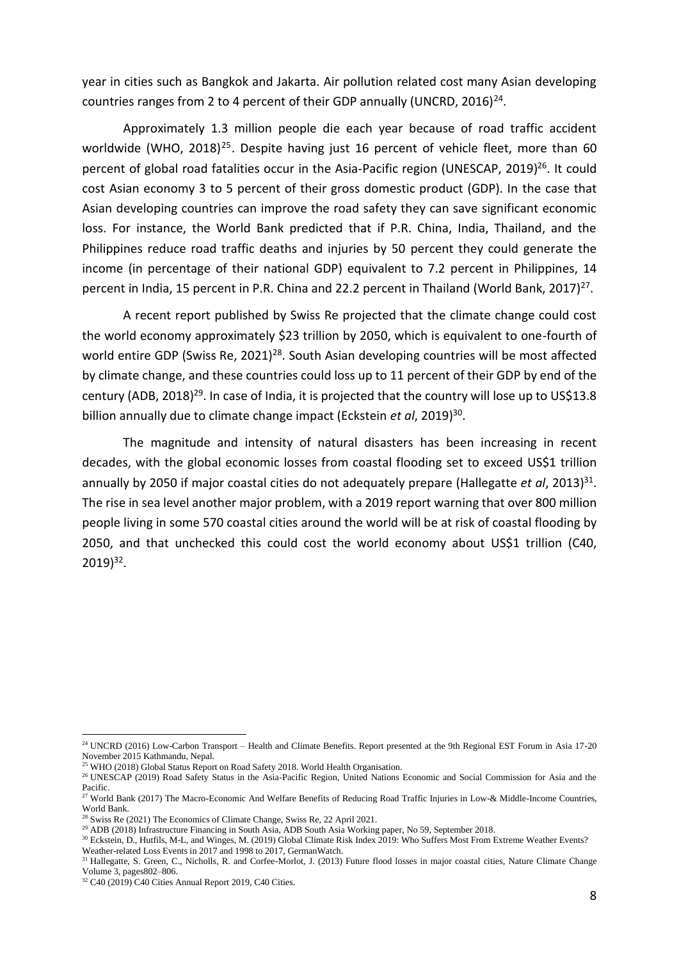year in cities such as Bangkok and Jakarta. Air pollution related cost many Asian developing countries ranges from 2 to 4 percent of their GDP annually (UNCRD, 2016)<sup>24</sup>.

Approximately 1.3 million people die each year because of road traffic accident worldwide (WHO, 2018)<sup>25</sup>. Despite having just 16 percent of vehicle fleet, more than 60 percent of global road fatalities occur in the Asia-Pacific region (UNESCAP, 2019)<sup>26</sup>. It could cost Asian economy 3 to 5 percent of their gross domestic product (GDP). In the case that Asian developing countries can improve the road safety they can save significant economic loss. For instance, the World Bank predicted that if P.R. China, India, Thailand, and the Philippines reduce road traffic deaths and injuries by 50 percent they could generate the income (in percentage of their national GDP) equivalent to 7.2 percent in Philippines, 14 percent in India, 15 percent in P.R. China and 22.2 percent in Thailand (World Bank, 2017)<sup>27</sup>.

A recent report published by Swiss Re projected that the climate change could cost the world economy approximately \$23 trillion by 2050, which is equivalent to one-fourth of world entire GDP (Swiss Re, 2021)<sup>28</sup>. South Asian developing countries will be most affected by climate change, and these countries could loss up to 11 percent of their GDP by end of the century (ADB, 2018)<sup>29</sup>. In case of India, it is projected that the country will lose up to US\$13.8 billion annually due to climate change impact (Eckstein et al, 2019)<sup>30</sup>.

The magnitude and intensity of natural disasters has been increasing in recent decades, with the global economic losses from coastal flooding set to exceed US\$1 trillion annually by 2050 if major coastal cities do not adequately prepare (Hallegatte et al, 2013)<sup>31</sup>. The rise in sea level another major problem, with a 2019 report warning that over 800 million people living in some 570 coastal cities around the world will be at risk of coastal flooding by 2050, and that unchecked this could cost the world economy about US\$1 trillion (C40, 2019)<sup>32</sup>.

<sup>&</sup>lt;sup>24</sup> UNCRD (2016) Low-Carbon Transport – Health and Climate Benefits. Report presented at the 9th Regional EST Forum in Asia 17-20 November 2015 Kathmandu, Nepal.

<sup>&</sup>lt;sup>25</sup> WHO (2018) Global Status Report on Road Safety 2018. World Health Organisation.

<sup>&</sup>lt;sup>26</sup> UNESCAP (2019) Road Safety Status in the Asia-Pacific Region, United Nations Economic and Social Commission for Asia and the Pacific.

<sup>&</sup>lt;sup>27</sup> World Bank (2017) The Macro-Economic And Welfare Benefits of Reducing Road Traffic Injuries in Low-& Middle-Income Countries, World Bank.

<sup>&</sup>lt;sup>28</sup> Swiss Re (2021) The Economics of Climate Change, Swiss Re, 22 April 2021.

<sup>&</sup>lt;sup>29</sup> ADB (2018) Infrastructure Financing in South Asia, ADB South Asia Working paper, No 59, September 2018.

<sup>30</sup> Eckstein, D., Hutfils, M-L, and Winges, M. (2019) Global Climate Risk Index 2019: Who Suffers Most From Extreme Weather Events? Weather-related Loss Events in 2017 and 1998 to 2017, GermanWatch.

<sup>&</sup>lt;sup>31</sup> Hallegatte, S. Green, C., Nicholls, R. and Corfee-Morlot, J. (2013) Future flood losses in major coastal cities, Nature Climate Change Volume 3, pages802–806.

<sup>32</sup> C40 (2019) C40 Cities Annual Report 2019, C40 Cities.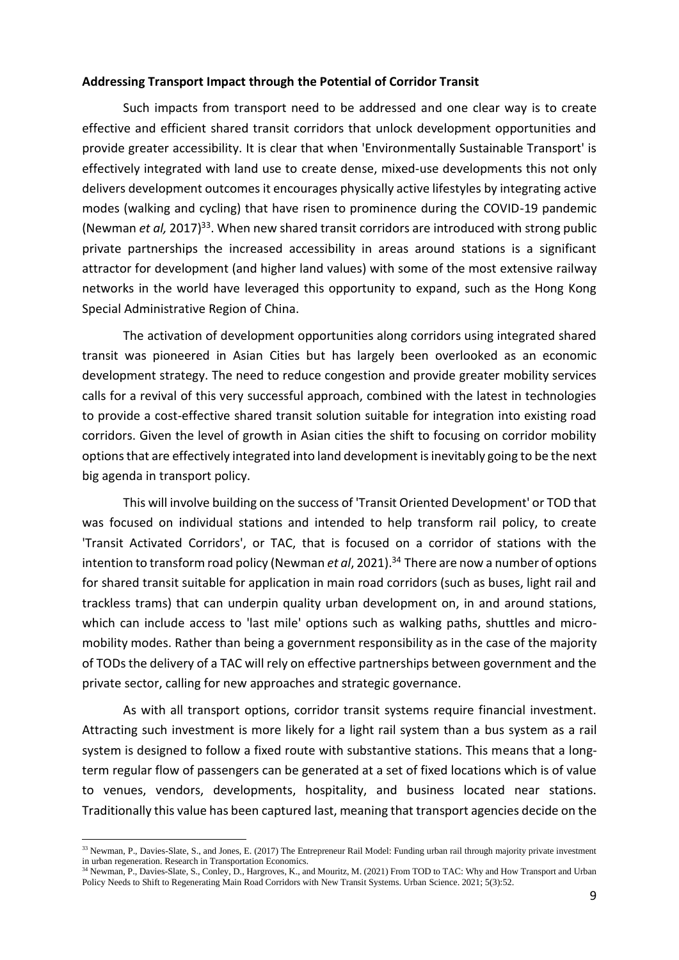#### <span id="page-9-0"></span>**Addressing Transport Impact through the Potential of Corridor Transit**

Such impacts from transport need to be addressed and one clear way is to create effective and efficient shared transit corridors that unlock development opportunities and provide greater accessibility. It is clear that when 'Environmentally Sustainable Transport' is effectively integrated with land use to create dense, mixed-use developments this not only delivers development outcomes it encourages physically active lifestyles by integrating active modes (walking and cycling) that have risen to prominence during the COVID-19 pandemic (Newman *et al,* 2017)<sup>33</sup>. When new shared transit corridors are introduced with strong public private partnerships the increased accessibility in areas around stations is a significant attractor for development (and higher land values) with some of the most extensive railway networks in the world have leveraged this opportunity to expand, such as the Hong Kong Special Administrative Region of China.

The activation of development opportunities along corridors using integrated shared transit was pioneered in Asian Cities but has largely been overlooked as an economic development strategy. The need to reduce congestion and provide greater mobility services calls for a revival of this very successful approach, combined with the latest in technologies to provide a cost-effective shared transit solution suitable for integration into existing road corridors. Given the level of growth in Asian cities the shift to focusing on corridor mobility options that are effectively integrated into land development is inevitably going to be the next big agenda in transport policy.

This will involve building on the success of 'Transit Oriented Development' or TOD that was focused on individual stations and intended to help transform rail policy, to create 'Transit Activated Corridors', or TAC, that is focused on a corridor of stations with the intention to transform road policy (Newman *et al*, 2021). <sup>34</sup> There are now a number of options for shared transit suitable for application in main road corridors (such as buses, light rail and trackless trams) that can underpin quality urban development on, in and around stations, which can include access to 'last mile' options such as walking paths, shuttles and micromobility modes. Rather than being a government responsibility as in the case of the majority of TODs the delivery of a TAC will rely on effective partnerships between government and the private sector, calling for new approaches and strategic governance.

As with all transport options, corridor transit systems require financial investment. Attracting such investment is more likely for a light rail system than a bus system as a rail system is designed to follow a fixed route with substantive stations. This means that a longterm regular flow of passengers can be generated at a set of fixed locations which is of value to venues, vendors, developments, hospitality, and business located near stations. Traditionally this value has been captured last, meaning that transport agencies decide on the

<sup>&</sup>lt;sup>33</sup> Newman, P., Davies-Slate, S., and Jones, E. (2017) The Entrepreneur Rail Model: Funding urban rail through majority private investment in urban regeneration. Research in Transportation Economics.

<sup>34</sup> Newman, P., Davies-Slate, S., Conley, D., Hargroves, K., and Mouritz, M. (2021) From TOD to TAC: Why and How Transport and Urban Policy Needs to Shift to Regenerating Main Road Corridors with New Transit Systems. Urban Science. 2021; 5(3):52.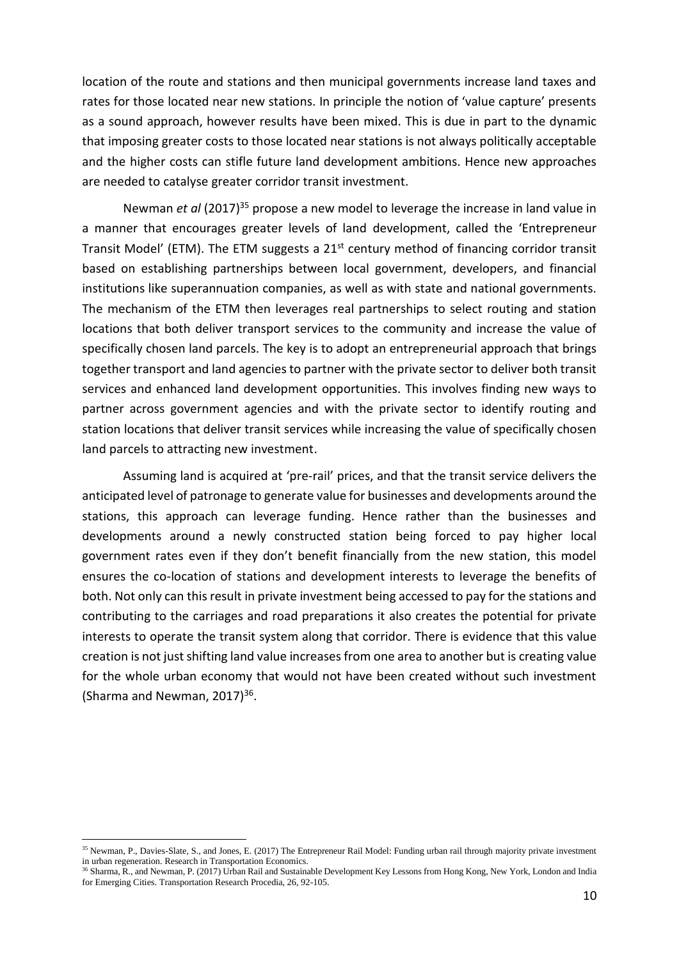location of the route and stations and then municipal governments increase land taxes and rates for those located near new stations. In principle the notion of 'value capture' presents as a sound approach, however results have been mixed. This is due in part to the dynamic that imposing greater costs to those located near stations is not always politically acceptable and the higher costs can stifle future land development ambitions. Hence new approaches are needed to catalyse greater corridor transit investment.

Newman *et al* (2017)<sup>35</sup> propose a new model to leverage the increase in land value in a manner that encourages greater levels of land development, called the '[Entrepreneur](https://www.sciencedirect.com/science/article/pii/S073988591630097X)  [Transit Model](https://www.sciencedirect.com/science/article/pii/S073988591630097X)' (ETM). The ETM suggests a  $21<sup>st</sup>$  century method of financing corridor transit based on establishing partnerships between local government, developers, and financial institutions like superannuation companies, as well as with state and national governments. The mechanism of the ETM then leverages real partnerships to select routing and station locations that both deliver transport services to the community and increase the value of specifically chosen land parcels. The key is to adopt an entrepreneurial approach that brings together transport and land agencies to partner with the private sector to deliver both transit services and enhanced land development opportunities. This involves finding new ways to partner across government agencies and with the private sector to identify routing and station locations that deliver transit services while increasing the value of specifically chosen land parcels to attracting new investment.

Assuming land is acquired at 'pre-rail' prices, and that the transit service delivers the anticipated level of patronage to generate value for businesses and developments around the stations, this approach can leverage funding. Hence rather than the businesses and developments around a newly constructed station being forced to pay higher local government rates even if they don't benefit financially from the new station, this model ensures the co-location of stations and development interests to leverage the benefits of both. Not only can this result in private investment being accessed to pay for the stations and contributing to the carriages and road preparations it also creates the potential for private interests to operate the transit system along that corridor. There is evidence that this value creation is not just shifting land value increases from one area to another but is creating value for the whole urban economy that would not have been created without such investment (Sharma and Newman,  $2017$ )<sup>36</sup>.

<sup>&</sup>lt;sup>35</sup> Newman, P., Davies-Slate, S., and Jones, E. (2017) The Entrepreneur Rail Model: Funding urban rail through majority private investment in urban regeneration. Research in Transportation Economics.

<sup>&</sup>lt;sup>36</sup> Sharma, R., and Newman, P. (2017) Urban Rail and Sustainable Development Key Lessons from Hong Kong, New York, London and India for Emerging Cities. Transportation Research Procedia, 26, 92-105.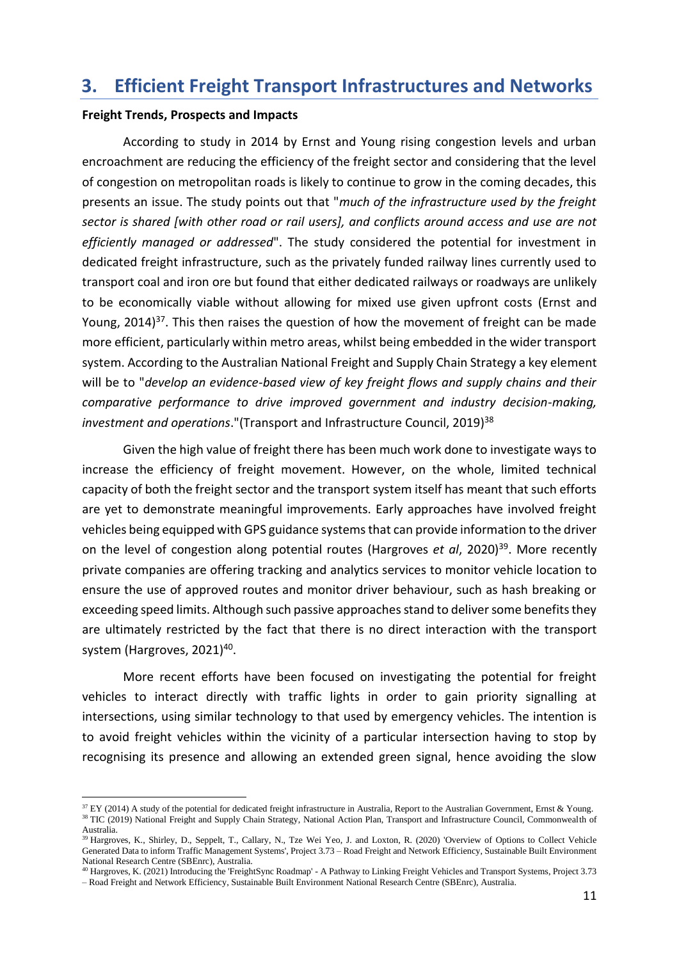### <span id="page-11-0"></span>**3. Efficient Freight Transport Infrastructures and Networks**

#### <span id="page-11-1"></span>**Freight Trends, Prospects and Impacts**

According to study in 2014 by Ernst and Young rising congestion levels and urban encroachment are reducing the efficiency of the freight sector and considering that the level of congestion on metropolitan roads is likely to continue to grow in the coming decades, this presents an issue. The study points out that "*much of the infrastructure used by the freight sector is shared [with other road or rail users], and conflicts around access and use are not efficiently managed or addressed*". The study considered the potential for investment in dedicated freight infrastructure, such as the privately funded railway lines currently used to transport coal and iron ore but found that either dedicated railways or roadways are unlikely to be economically viable without allowing for mixed use given upfront costs (Ernst and Young, 2014)<sup>37</sup>. This then raises the question of how the movement of freight can be made more efficient, particularly within metro areas, whilst being embedded in the wider transport system. According to the Australian National Freight and Supply Chain Strategy a key element will be to "*develop an evidence-based view of key freight flows and supply chains and their comparative performance to drive improved government and industry decision-making, investment and operations*."(Transport and Infrastructure Council, 2019)<sup>38</sup>

Given the high value of freight there has been much work done to investigate ways to increase the efficiency of freight movement. However, on the whole, limited technical capacity of both the freight sector and the transport system itself has meant that such efforts are yet to demonstrate meaningful improvements. Early approaches have involved freight vehicles being equipped with GPS guidance systems that can provide information to the driver on the level of congestion along potential routes (Hargroves et al, 2020)<sup>39</sup>. More recently private companies are offering tracking and analytics services to monitor vehicle location to ensure the use of approved routes and monitor driver behaviour, such as hash breaking or exceeding speed limits. Although such passive approaches stand to deliver some benefits they are ultimately restricted by the fact that there is no direct interaction with the transport system (Hargroves, 2021)<sup>40</sup>.

More recent efforts have been focused on investigating the potential for freight vehicles to interact directly with traffic lights in order to gain priority signalling at intersections, using similar technology to that used by emergency vehicles. The intention is to avoid freight vehicles within the vicinity of a particular intersection having to stop by recognising its presence and allowing an extended green signal, hence avoiding the slow

 $37$  EY (2014) A study of the potential for dedicated freight infrastructure in Australia, Report to the Australian Government, Ernst & Young. <sup>38</sup> TIC (2019) National Freight and Supply Chain Strategy, National Action Plan, Transport and Infrastructure Council, Commonwealth of Australia.

<sup>39</sup> Hargroves, K., Shirley, D., Seppelt, T., Callary, N., Tze Wei Yeo, J. and Loxton, R. (2020) 'Overview of Options to Collect Vehicle Generated Data to inform Traffic Management Systems', Project 3.73 – Road Freight and Network Efficiency, Sustainable Built Environment National Research Centre (SBEnrc), Australia.

<sup>40</sup> Hargroves, K. (2021) Introducing the 'FreightSync Roadmap' - A Pathway to Linking Freight Vehicles and Transport Systems, Project 3.73 – Road Freight and Network Efficiency, Sustainable Built Environment National Research Centre (SBEnrc), Australia.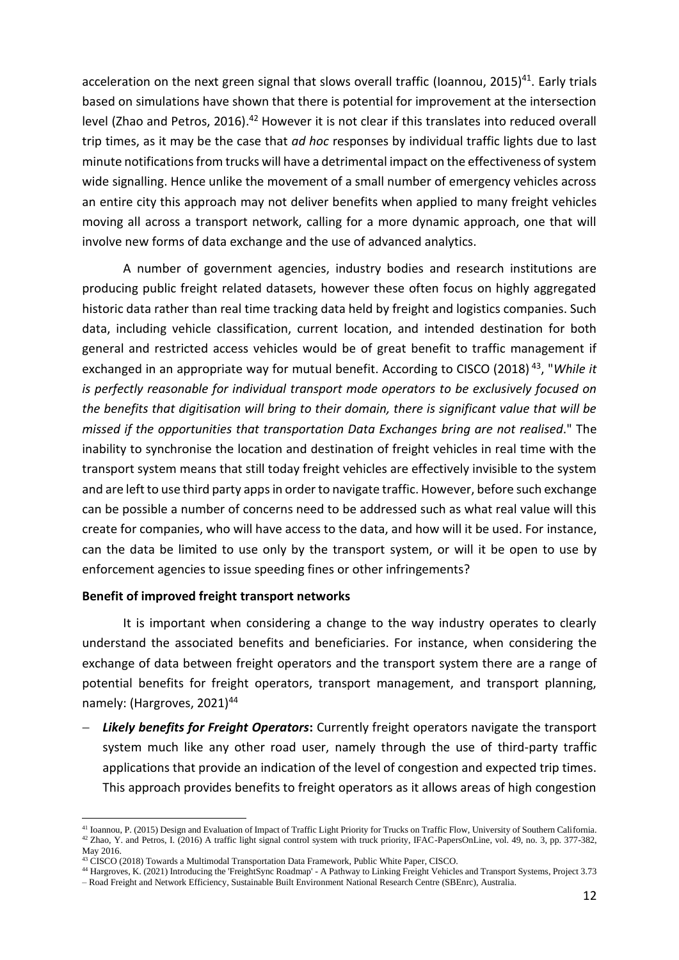acceleration on the next green signal that slows overall traffic (Ioannou, 2015)<sup>41</sup>. Early trials based on simulations have shown that there is potential for improvement at the intersection level (Zhao and Petros, 2016).<sup>42</sup> However it is not clear if this translates into reduced overall trip times, as it may be the case that *ad hoc* responses by individual traffic lights due to last minute notifications from trucks will have a detrimental impact on the effectiveness of system wide signalling. Hence unlike the movement of a small number of emergency vehicles across an entire city this approach may not deliver benefits when applied to many freight vehicles moving all across a transport network, calling for a more dynamic approach, one that will involve new forms of data exchange and the use of advanced analytics.

A number of government agencies, industry bodies and research institutions are producing public freight related datasets, however these often focus on highly aggregated historic data rather than real time tracking data held by freight and logistics companies. Such data, including vehicle classification, current location, and intended destination for both general and restricted access vehicles would be of great benefit to traffic management if exchanged in an appropriate way for mutual benefit. According to CISCO (2018)<sup>43</sup>, "While it *is perfectly reasonable for individual transport mode operators to be exclusively focused on the benefits that digitisation will bring to their domain, there is significant value that will be missed if the opportunities that transportation Data Exchanges bring are not realised*." The inability to synchronise the location and destination of freight vehicles in real time with the transport system means that still today freight vehicles are effectively invisible to the system and are left to use third party apps in order to navigate traffic. However, before such exchange can be possible a number of concerns need to be addressed such as what real value will this create for companies, who will have access to the data, and how will it be used. For instance, can the data be limited to use only by the transport system, or will it be open to use by enforcement agencies to issue speeding fines or other infringements?

#### <span id="page-12-0"></span>**Benefit of improved freight transport networks**

It is important when considering a change to the way industry operates to clearly understand the associated benefits and beneficiaries. For instance, when considering the exchange of data between freight operators and the transport system there are a range of potential benefits for freight operators, transport management, and transport planning, namely: (Hargroves, 2021)<sup>44</sup>

− *Likely benefits for Freight Operators***:** Currently freight operators navigate the transport system much like any other road user, namely through the use of third-party traffic applications that provide an indication of the level of congestion and expected trip times. This approach provides benefits to freight operators as it allows areas of high congestion

<sup>41</sup> Ioannou, P. (2015) Design and Evaluation of Impact of Traffic Light Priority for Trucks on Traffic Flow, University of Southern California. <sup>42</sup> Zhao, Y. and Petros, I. (2016) A traffic light signal control system with truck priority, IFAC-PapersOnLine, vol. 49, no. 3, pp. 377-382, May 2016.

<sup>43</sup> CISCO (2018) Towards a Multimodal Transportation Data Framework, Public White Paper, CISCO.

<sup>44</sup> Hargroves, K. (2021) Introducing the 'FreightSync Roadmap' - A Pathway to Linking Freight Vehicles and Transport Systems, Project 3.73 – Road Freight and Network Efficiency, Sustainable Built Environment National Research Centre (SBEnrc), Australia.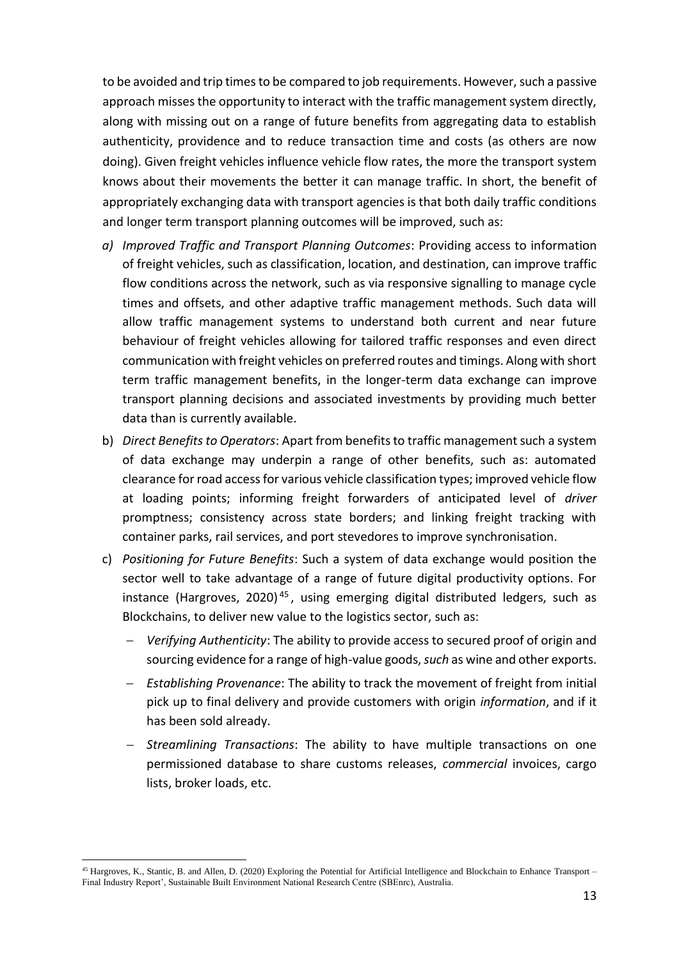to be avoided and trip times to be compared to job requirements. However, such a passive approach misses the opportunity to interact with the traffic management system directly, along with missing out on a range of future benefits from aggregating data to establish authenticity, providence and to reduce transaction time and costs (as others are now doing). Given freight vehicles influence vehicle flow rates, the more the transport system knows about their movements the better it can manage traffic. In short, the benefit of appropriately exchanging data with transport agencies is that both daily traffic conditions and longer term transport planning outcomes will be improved, such as:

- *a) Improved Traffic and Transport Planning Outcomes*: Providing access to information of freight vehicles, such as classification, location, and destination, can improve traffic flow conditions across the network, such as via responsive signalling to manage cycle times and offsets, and other adaptive traffic management methods. Such data will allow traffic management systems to understand both current and near future behaviour of freight vehicles allowing for tailored traffic responses and even direct communication with freight vehicles on preferred routes and timings. Along with short term traffic management benefits, in the longer-term data exchange can improve transport planning decisions and associated investments by providing much better data than is currently available.
- b) *Direct Benefits to Operators*: Apart from benefits to traffic management such a system of data exchange may underpin a range of other benefits, such as: automated clearance for road access for various vehicle classification types; improved vehicle flow at loading points; informing freight forwarders of anticipated level of *driver* promptness; consistency across state borders; and linking freight tracking with container parks, rail services, and port stevedores to improve synchronisation.
- c) *Positioning for Future Benefits*: Such a system of data exchange would position the sector well to take advantage of a range of future digital productivity options. For instance (Hargroves, 2020)<sup>45</sup>, using emerging digital distributed ledgers, such as Blockchains, to deliver new value to the logistics sector, such as:
	- − *Verifying Authenticity*: The ability to provide access to secured proof of origin and sourcing evidence for a range of high-value goods, *such* as wine and other exports.
	- − *Establishing Provenance*: The ability to track the movement of freight from initial pick up to final delivery and provide customers with origin *information*, and if it has been sold already.
	- − *Streamlining Transactions*: The ability to have multiple transactions on one permissioned database to share customs releases, *commercial* invoices, cargo lists, broker loads, etc.

<sup>45</sup> Hargroves, K., Stantic, B. and Allen, D. (2020) Exploring the Potential for Artificial Intelligence and Blockchain to Enhance Transport – Final Industry Report', Sustainable Built Environment National Research Centre (SBEnrc), Australia.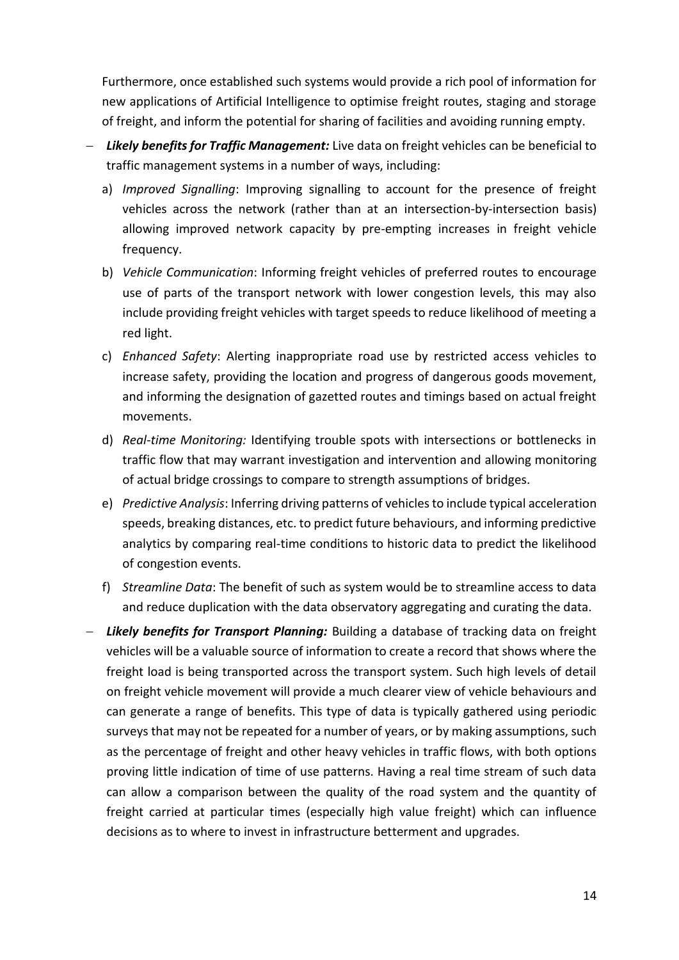Furthermore, once established such systems would provide a rich pool of information for new applications of Artificial Intelligence to optimise freight routes, staging and storage of freight, and inform the potential for sharing of facilities and avoiding running empty.

- − *Likely benefits for Traffic Management:* Live data on freight vehicles can be beneficial to traffic management systems in a number of ways, including:
	- a) *Improved Signalling*: Improving signalling to account for the presence of freight vehicles across the network (rather than at an intersection-by-intersection basis) allowing improved network capacity by pre-empting increases in freight vehicle frequency.
	- b) *Vehicle Communication*: Informing freight vehicles of preferred routes to encourage use of parts of the transport network with lower congestion levels, this may also include providing freight vehicles with target speeds to reduce likelihood of meeting a red light.
	- c) *Enhanced Safety*: Alerting inappropriate road use by restricted access vehicles to increase safety, providing the location and progress of dangerous goods movement, and informing the designation of gazetted routes and timings based on actual freight movements.
	- d) *Real-time Monitoring:* Identifying trouble spots with intersections or bottlenecks in traffic flow that may warrant investigation and intervention and allowing monitoring of actual bridge crossings to compare to strength assumptions of bridges.
	- e) *Predictive Analysis*: Inferring driving patterns of vehicles to include typical acceleration speeds, breaking distances, etc. to predict future behaviours, and informing predictive analytics by comparing real-time conditions to historic data to predict the likelihood of congestion events.
	- f) *Streamline Data*: The benefit of such as system would be to streamline access to data and reduce duplication with the data observatory aggregating and curating the data.
- − *Likely benefits for Transport Planning:* Building a database of tracking data on freight vehicles will be a valuable source of information to create a record that shows where the freight load is being transported across the transport system. Such high levels of detail on freight vehicle movement will provide a much clearer view of vehicle behaviours and can generate a range of benefits. This type of data is typically gathered using periodic surveys that may not be repeated for a number of years, or by making assumptions, such as the percentage of freight and other heavy vehicles in traffic flows, with both options proving little indication of time of use patterns. Having a real time stream of such data can allow a comparison between the quality of the road system and the quantity of freight carried at particular times (especially high value freight) which can influence decisions as to where to invest in infrastructure betterment and upgrades.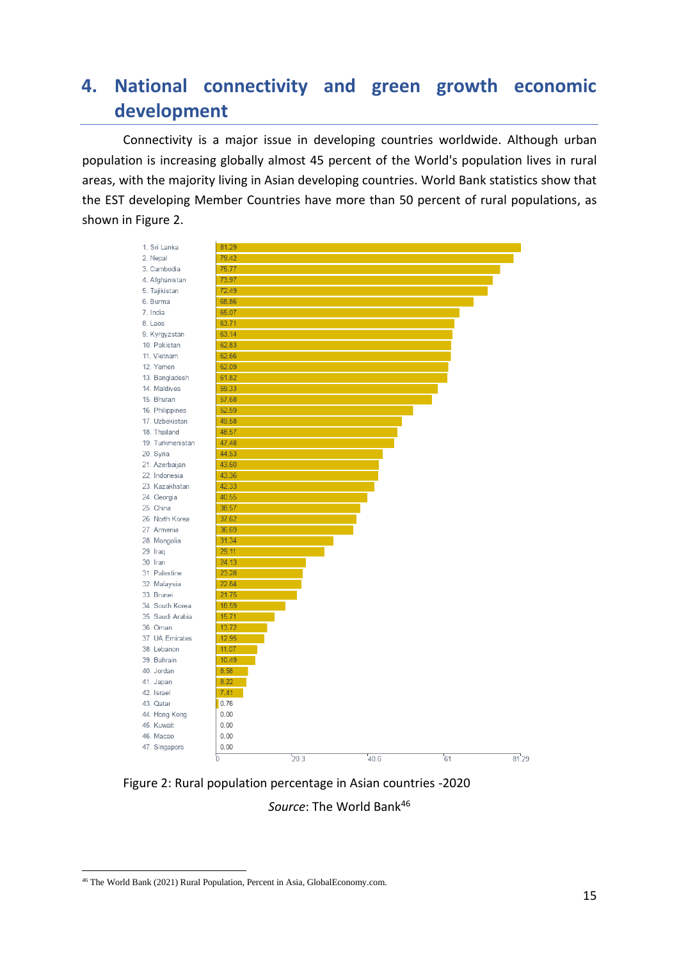# <span id="page-15-0"></span>**4. National connectivity and green growth economic development**

Connectivity is a major issue in developing countries worldwide. Although urban population is increasing globally almost 45 percent of the World's population lives in rural areas, with the majority living in Asian developing countries. World Bank statistics show that the EST developing Member Countries have more than 50 percent of rural populations, as shown in Figure 2.



Figure 2: Rural population percentage in Asian countries -2020 *Source*: The World Bank<sup>46</sup>

<sup>46</sup> The World Bank (2021) Rural Population, Percent in Asia, GlobalEconomy.com.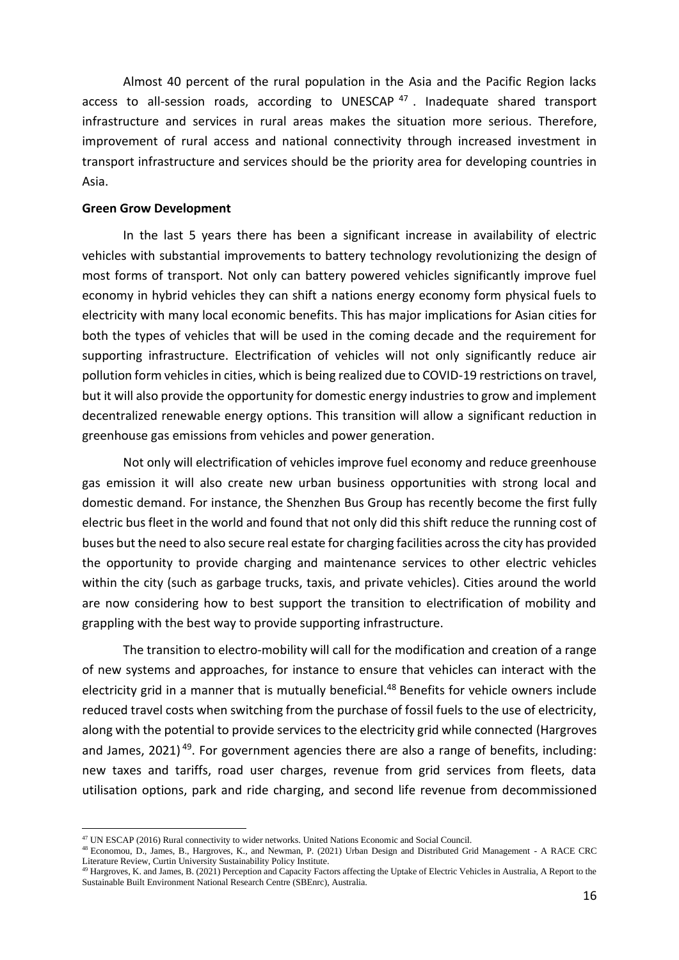Almost 40 percent of the rural population in the Asia and the Pacific Region lacks access to all-session roads, according to UNESCAP<sup>47</sup>. Inadequate shared transport infrastructure and services in rural areas makes the situation more serious. Therefore, improvement of rural access and national connectivity through increased investment in transport infrastructure and services should be the priority area for developing countries in Asia.

#### **Green Grow Development**

In the last 5 years there has been a significant increase in availability of electric vehicles with substantial improvements to battery technology revolutionizing the design of most forms of transport. Not only can battery powered vehicles significantly improve fuel economy in hybrid vehicles they can shift a nations energy economy form physical fuels to electricity with many local economic benefits. This has major implications for Asian cities for both the types of vehicles that will be used in the coming decade and the requirement for supporting infrastructure. Electrification of vehicles will not only significantly reduce air pollution form vehicles in cities, which is being realized due to COVID-19 restrictions on travel, but it will also provide the opportunity for domestic energy industries to grow and implement decentralized renewable energy options. This transition will allow a significant reduction in greenhouse gas emissions from vehicles and power generation.

Not only will electrification of vehicles improve fuel economy and reduce greenhouse gas emission it will also create new urban business opportunities with strong local and domestic demand. For instance, the Shenzhen Bus Group has recently become the first fully electric bus fleet in the world and found that not only did this shift reduce the running cost of buses but the need to also secure real estate for charging facilities across the city has provided the opportunity to provide charging and maintenance services to other electric vehicles within the city (such as garbage trucks, taxis, and private vehicles). Cities around the world are now considering how to best support the transition to electrification of mobility and grappling with the best way to provide supporting infrastructure.

The transition to electro-mobility will call for the modification and creation of a range of new systems and approaches, for instance to ensure that vehicles can interact with the electricity grid in a manner that is mutually beneficial.<sup>48</sup> Benefits for vehicle owners include reduced travel costs when switching from the purchase of fossil fuels to the use of electricity, along with the potential to provide services to the electricity grid while connected (Hargroves and James, 2021)<sup>49</sup>. For government agencies there are also a range of benefits, including: new taxes and tariffs, road user charges, revenue from grid services from fleets, data utilisation options, park and ride charging, and second life revenue from decommissioned

<sup>47</sup> UN ESCAP (2016) Rural connectivity to wider networks. United Nations Economic and Social Council.

<sup>48</sup> Economou, D., James, B., Hargroves, K., and Newman, P. (2021) Urban Design and Distributed Grid Management - A RACE CRC Literature Review, Curtin University Sustainability Policy Institute.

<sup>&</sup>lt;sup>49</sup> Hargroves, K. and James, B. (2021) Perception and Capacity Factors affecting the Uptake of Electric Vehicles in Australia, A Report to the Sustainable Built Environment National Research Centre (SBEnrc), Australia.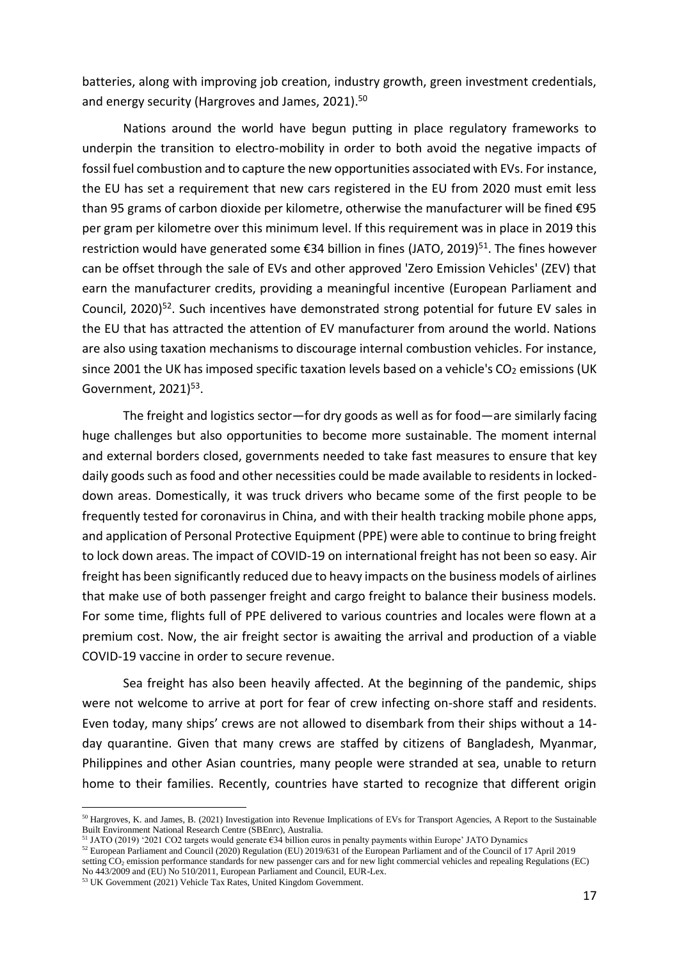batteries, along with improving job creation, industry growth, green investment credentials, and energy security (Hargroves and James, 2021).<sup>50</sup>

Nations around the world have begun putting in place regulatory frameworks to underpin the transition to electro-mobility in order to both avoid the negative impacts of fossil fuel combustion and to capture the new opportunities associated with EVs. For instance, the EU has set a requirement that new cars registered in the EU from 2020 must emit less than 95 grams of carbon dioxide per kilometre, otherwise the manufacturer will be fined €95 per gram per kilometre over this minimum level. If this requirement was in place in 2019 this restriction would have generated some  $\epsilon$ 34 billion in fines (JATO, 2019)<sup>51</sup>. The fines however can be offset through the sale of EVs and other approved 'Zero Emission Vehicles' (ZEV) that earn the manufacturer credits, providing a meaningful incentive (European Parliament and Council, 2020)<sup>52</sup>. Such incentives have demonstrated strong potential for future EV sales in the EU that has attracted the attention of EV manufacturer from around the world. Nations are also using taxation mechanisms to discourage internal combustion vehicles. For instance, since 2001 the UK has imposed specific taxation levels based on a vehicle's  $CO<sub>2</sub>$  emissions (UK Government, 2021)<sup>53</sup>.

The freight and logistics sector—for dry goods as well as for food—are similarly facing huge challenges but also opportunities to become more sustainable. The moment internal and external borders closed, governments needed to take fast measures to ensure that key daily goods such as food and other necessities could be made available to residents in lockeddown areas. Domestically, it was truck drivers who became some of the first people to be frequently tested for coronavirus in China, and with their health tracking mobile phone apps, and application of Personal Protective Equipment (PPE) were able to continue to bring freight to lock down areas. The impact of COVID-19 on international freight has not been so easy. Air freight has been significantly reduced due to heavy impacts on the business models of airlines that make use of both passenger freight and cargo freight to balance their business models. For some time, flights full of PPE delivered to various countries and locales were flown at a premium cost. Now, the air freight sector is awaiting the arrival and production of a viable COVID-19 vaccine in order to secure revenue.

Sea freight has also been heavily affected. At the beginning of the pandemic, ships were not welcome to arrive at port for fear of crew infecting on-shore staff and residents. Even today, many ships' crews are not allowed to disembark from their ships without a 14 day quarantine. Given that many crews are staffed by citizens of Bangladesh, Myanmar, Philippines and other Asian countries, many people were stranded at sea, unable to return home to their families. Recently, countries have started to recognize that different origin

<sup>50</sup> Hargroves, K. and James, B. (2021) Investigation into Revenue Implications of EVs for Transport Agencies, A Report to the Sustainable Built Environment National Research Centre (SBEnrc), Australia.

<sup>51</sup> JATO (2019) '2021 CO2 targets would generate €34 billion euros in penalty payments within Europe' JATO Dynamics

<sup>52</sup> European Parliament and Council (2020) Regulation (EU) 2019/631 of the European Parliament and of the Council of 17 April 2019 setting CO<sub>2</sub> emission performance standards for new passenger cars and for new light commercial vehicles and repealing Regulations (EC) No 443/2009 and (EU) No 510/2011, European Parliament and Council, EUR-Lex.

<sup>53</sup> UK Government (2021) Vehicle Tax Rates, United Kingdom Government.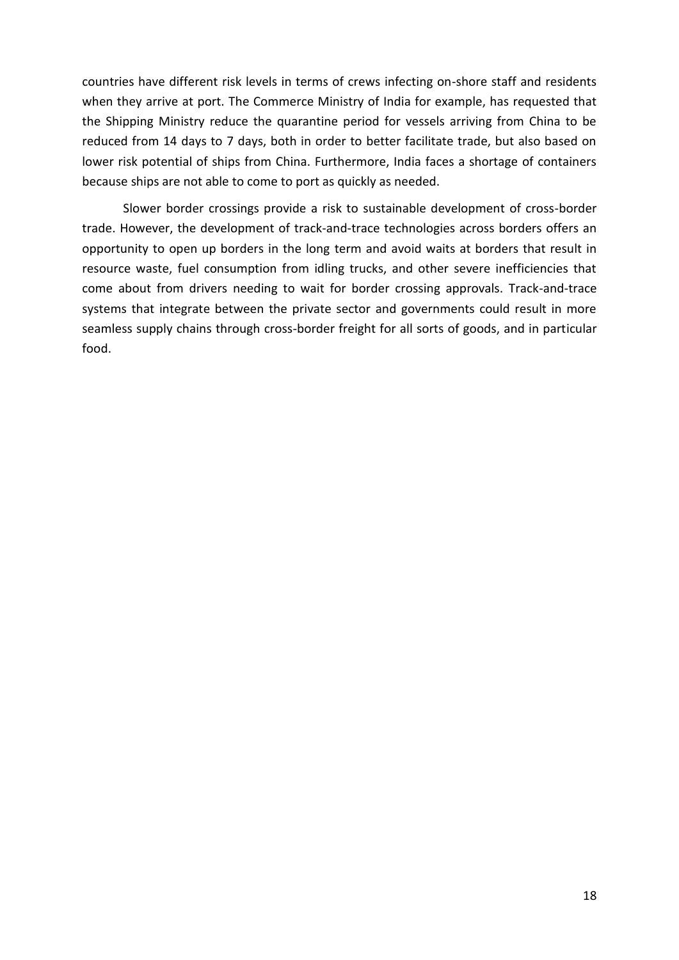countries have different risk levels in terms of crews infecting on-shore staff and residents when they arrive at port. The Commerce Ministry of India for example, has requested that the Shipping Ministry reduce the quarantine period for vessels arriving from China to be reduced from 14 days to 7 days, both in order to better facilitate trade, but also based on lower risk potential of ships from China. Furthermore, India faces a shortage of containers because ships are not able to come to port as quickly as needed.

Slower border crossings provide a risk to sustainable development of cross-border trade. However, the development of track-and-trace technologies across borders offers an opportunity to open up borders in the long term and avoid waits at borders that result in resource waste, fuel consumption from idling trucks, and other severe inefficiencies that come about from drivers needing to wait for border crossing approvals. Track-and-trace systems that integrate between the private sector and governments could result in more seamless supply chains through cross-border freight for all sorts of goods, and in particular food.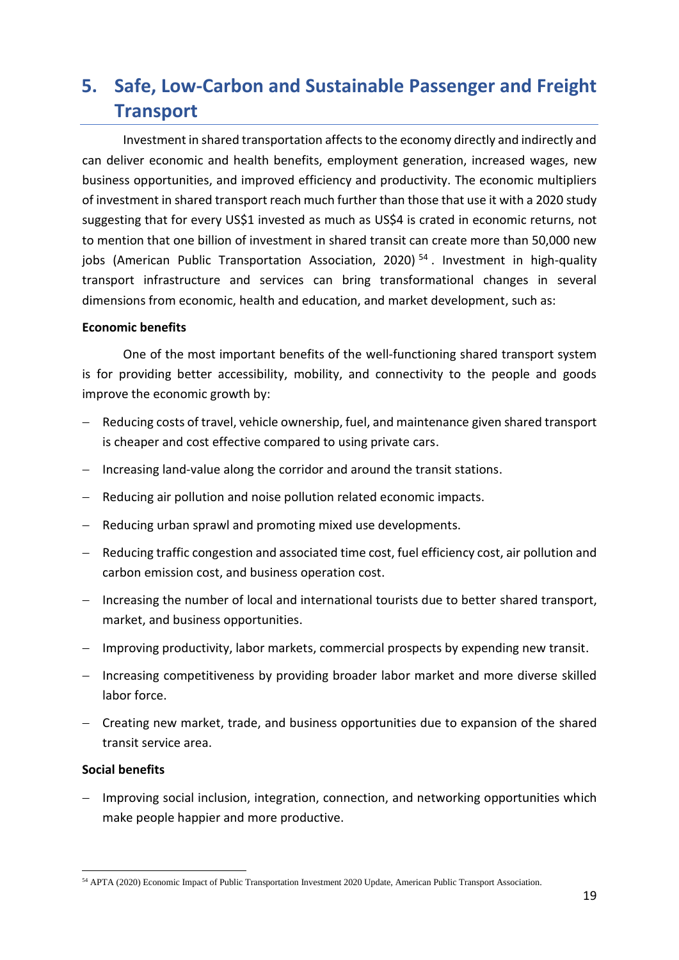# <span id="page-19-0"></span>**5. Safe, Low-Carbon and Sustainable Passenger and Freight Transport**

Investment in shared transportation affects to the economy directly and indirectly and can deliver economic and health benefits, employment generation, increased wages, new business opportunities, and improved efficiency and productivity. The economic multipliers of investment in shared transport reach much further than those that use it with a 2020 study suggesting that for every US\$1 invested as much as US\$4 is crated in economic returns, not to mention that one billion of investment in shared transit can create more than 50,000 new jobs (American Public Transportation Association, 2020)<sup>54</sup>. Investment in high-quality transport infrastructure and services can bring transformational changes in several dimensions from economic, health and education, and market development, such as:

#### **Economic benefits**

One of the most important benefits of the well-functioning shared transport system is for providing better accessibility, mobility, and connectivity to the people and goods improve the economic growth by:

- − Reducing costs of travel, vehicle ownership, fuel, and maintenance given shared transport is cheaper and cost effective compared to using private cars.
- − Increasing land-value along the corridor and around the transit stations.
- − Reducing air pollution and noise pollution related economic impacts.
- − Reducing urban sprawl and promoting mixed use developments.
- − Reducing traffic congestion and associated time cost, fuel efficiency cost, air pollution and carbon emission cost, and business operation cost.
- − Increasing the number of local and international tourists due to better shared transport, market, and business opportunities.
- − Improving productivity, labor markets, commercial prospects by expending new transit.
- − Increasing competitiveness by providing broader labor market and more diverse skilled labor force.
- − Creating new market, trade, and business opportunities due to expansion of the shared transit service area.

#### **Social benefits**

− Improving social inclusion, integration, connection, and networking opportunities which make people happier and more productive.

<sup>54</sup> APTA (2020) Economic Impact of Public Transportation Investment 2020 Update, American Public Transport Association.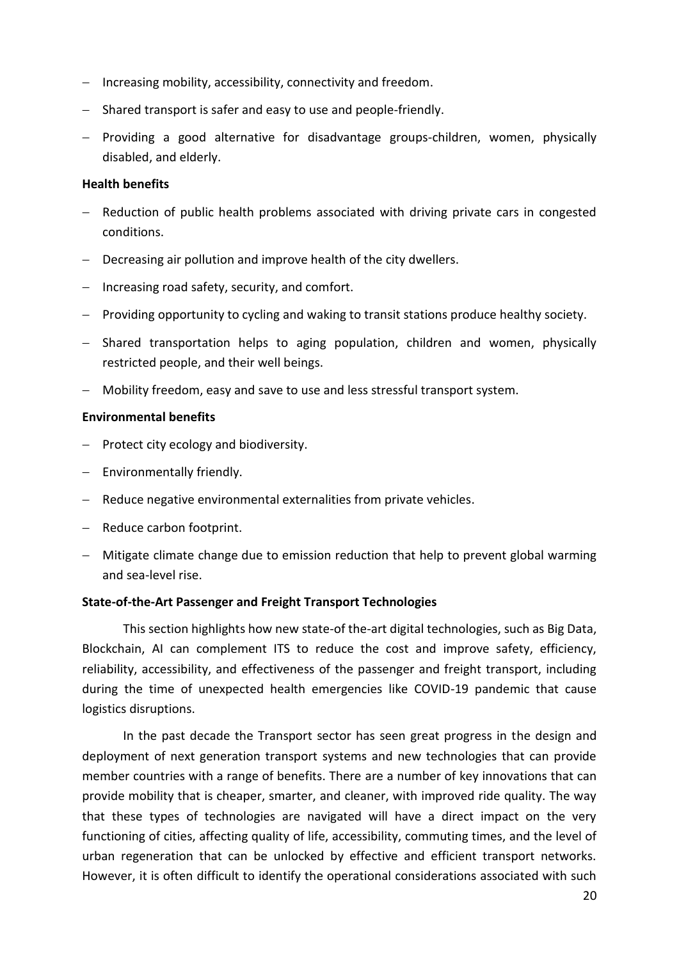- − Increasing mobility, accessibility, connectivity and freedom.
- − Shared transport is safer and easy to use and people-friendly.
- − Providing a good alternative for disadvantage groups-children, women, physically disabled, and elderly.

#### **Health benefits**

- − Reduction of public health problems associated with driving private cars in congested conditions.
- − Decreasing air pollution and improve health of the city dwellers.
- − Increasing road safety, security, and comfort.
- − Providing opportunity to cycling and waking to transit stations produce healthy society.
- − Shared transportation helps to aging population, children and women, physically restricted people, and their well beings.
- − Mobility freedom, easy and save to use and less stressful transport system.

#### **Environmental benefits**

- − Protect city ecology and biodiversity.
- − Environmentally friendly.
- − Reduce negative environmental externalities from private vehicles.
- − Reduce carbon footprint.
- − Mitigate climate change due to emission reduction that help to prevent global warming and sea-level rise.

#### <span id="page-20-0"></span>**State-of-the-Art Passenger and Freight Transport Technologies**

This section highlights how new state-of the-art digital technologies, such as Big Data, Blockchain, AI can complement ITS to reduce the cost and improve safety, efficiency, reliability, accessibility, and effectiveness of the passenger and freight transport, including during the time of unexpected health emergencies like COVID-19 pandemic that cause logistics disruptions.

In the past decade the Transport sector has seen great progress in the design and deployment of next generation transport systems and new technologies that can provide member countries with a range of benefits. There are a number of key innovations that can provide mobility that is cheaper, smarter, and cleaner, with improved ride quality. The way that these types of technologies are navigated will have a direct impact on the very functioning of cities, affecting quality of life, accessibility, commuting times, and the level of urban regeneration that can be unlocked by effective and efficient transport networks. However, it is often difficult to identify the operational considerations associated with such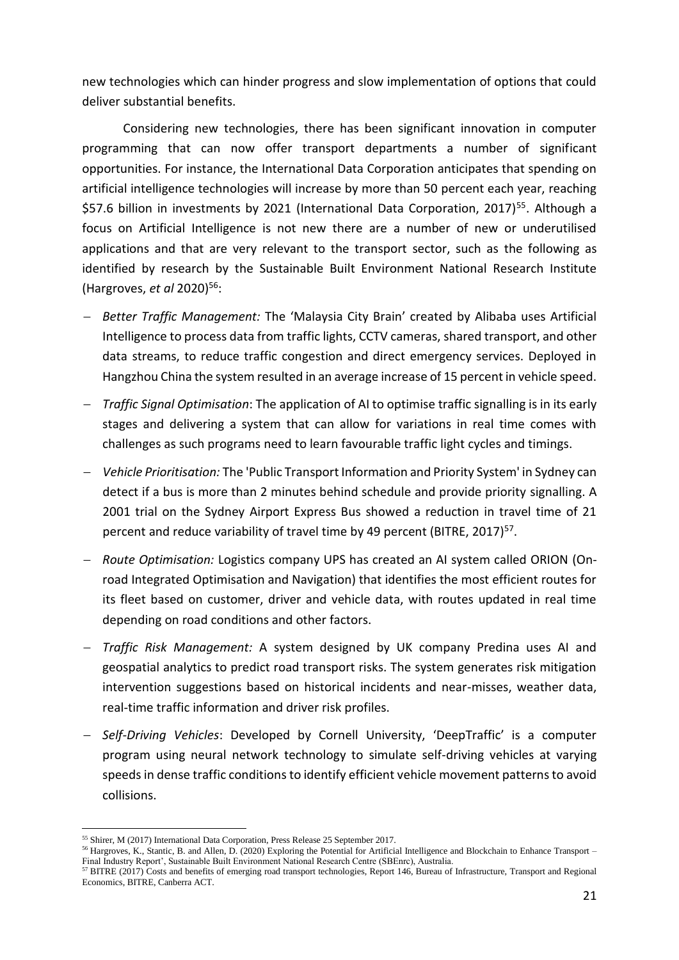new technologies which can hinder progress and slow implementation of options that could deliver substantial benefits.

Considering new technologies, there has been significant innovation in computer programming that can now offer transport departments a number of significant opportunities. For instance, the International Data Corporation anticipates that spending on artificial intelligence technologies will increase by more than 50 percent each year, reaching \$57.6 billion in investments by 2021 (International Data Corporation, 2017)<sup>55</sup>. Although a focus on Artificial Intelligence is not new there are a number of new or underutilised applications and that are very relevant to the transport sector, such as the following as identified by research by the Sustainable Built Environment National Research Institute (Hargroves, *et al* 2020)<sup>56</sup>:

- − *Better Traffic Management:* The 'Malaysia City Brain' created by Alibaba uses Artificial Intelligence to process data from traffic lights, CCTV cameras, shared transport, and other data streams, to reduce traffic congestion and direct emergency services. Deployed in Hangzhou China the system resulted in an average increase of 15 percent in vehicle speed.
- − *Traffic Signal Optimisation*: The application of AI to optimise traffic signalling is in its early stages and delivering a system that can allow for variations in real time comes with challenges as such programs need to learn favourable traffic light cycles and timings.
- − *Vehicle Prioritisation:* The 'Public Transport Information and Priority System' in Sydney can detect if a bus is more than 2 minutes behind schedule and provide priority signalling. A 2001 trial on the Sydney Airport Express Bus showed a reduction in travel time of 21 percent and reduce variability of travel time by 49 percent (BITRE, 2017)<sup>57</sup>.
- − *Route Optimisation:* Logistics company UPS has created an AI system called ORION (Onroad Integrated Optimisation and Navigation) that identifies the most efficient routes for its fleet based on customer, driver and vehicle data, with routes updated in real time depending on road conditions and other factors.
- − *Traffic Risk Management:* A system designed by UK company Predina uses AI and geospatial analytics to predict road transport risks. The system generates risk mitigation intervention suggestions based on historical incidents and near-misses, weather data, real-time traffic information and driver risk profiles.
- − *Self-Driving Vehicles*: Developed by Cornell University, 'DeepTraffic' is a computer program using neural network technology to simulate self-driving vehicles at varying speeds in dense traffic conditions to identify efficient vehicle movement patterns to avoid collisions.

<sup>55</sup> Shirer, M (2017) International Data Corporation, Press Release 25 September 2017.

<sup>56</sup> Hargroves, K., Stantic, B. and Allen, D. (2020) Exploring the Potential for Artificial Intelligence and Blockchain to Enhance Transport – Final Industry Report', Sustainable Built Environment National Research Centre (SBEnrc), Australia.

<sup>&</sup>lt;sup>57</sup> BITRE (2017) Costs and benefits of emerging road transport technologies, Report 146, Bureau of Infrastructure, Transport and Regional Economics, BITRE, Canberra ACT.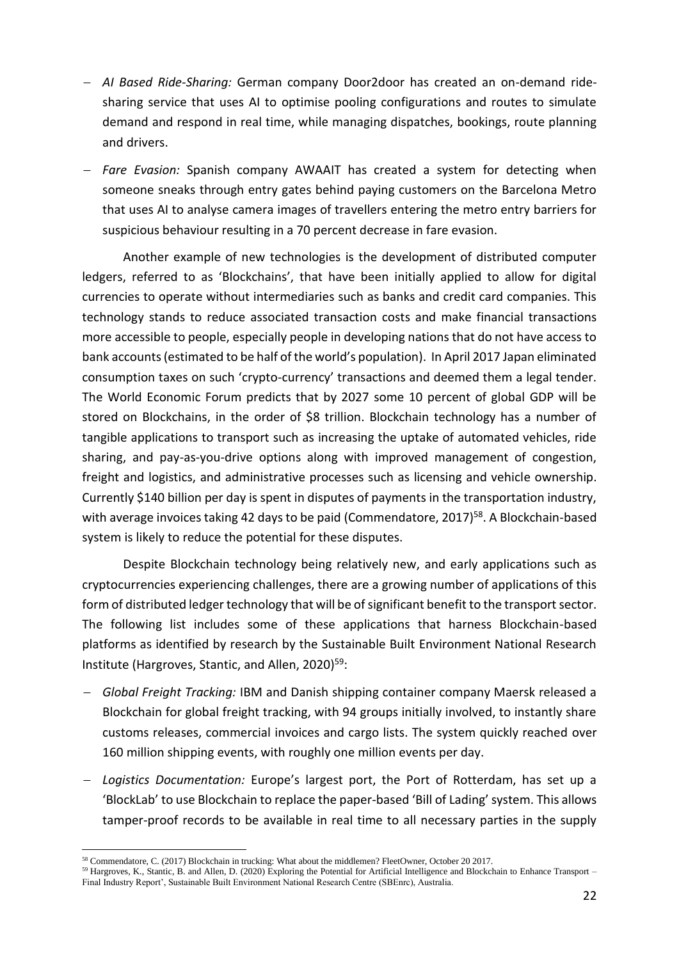- − *AI Based Ride-Sharing:* German company Door2door has created an on-demand ridesharing service that uses AI to optimise pooling configurations and routes to simulate demand and respond in real time, while managing dispatches, bookings, route planning and drivers.
- − *Fare Evasion:* Spanish company AWAAIT has created a system for detecting when someone sneaks through entry gates behind paying customers on the Barcelona Metro that uses AI to analyse camera images of travellers entering the metro entry barriers for suspicious behaviour resulting in a 70 percent decrease in fare evasion.

Another example of new technologies is the development of distributed computer ledgers, referred to as 'Blockchains', that have been initially applied to allow for digital currencies to operate without intermediaries such as banks and credit card companies. This technology stands to reduce associated transaction costs and make financial transactions more accessible to people, especially people in developing nations that do not have access to bank accounts (estimated to be half of the world's population). In April 2017 Japan eliminated consumption taxes on such 'crypto-currency' transactions and deemed them a legal tender. The World Economic Forum predicts that by 2027 some 10 percent of global GDP will be stored on Blockchains, in the order of \$8 trillion. Blockchain technology has a number of tangible applications to transport such as increasing the uptake of automated vehicles, ride sharing, and pay-as-you-drive options along with improved management of congestion, freight and logistics, and administrative processes such as licensing and vehicle ownership. Currently \$140 billion per day is spent in disputes of payments in the transportation industry, with average invoices taking 42 days to be paid (Commendatore, 2017)<sup>58</sup>. A Blockchain-based system is likely to reduce the potential for these disputes.

Despite Blockchain technology being relatively new, and early applications such as cryptocurrencies experiencing challenges, there are a growing number of applications of this form of distributed ledger technology that will be of significant benefit to the transport sector. The following list includes some of these applications that harness Blockchain-based platforms as identified by research by the Sustainable Built Environment National Research Institute (Hargroves, Stantic, and Allen, 2020)<sup>59</sup>:

- − *Global Freight Tracking:* IBM and Danish shipping container company Maersk released a Blockchain for global freight tracking, with 94 groups initially involved, to instantly share customs releases, commercial invoices and cargo lists. The system quickly reached over 160 million shipping events, with roughly one million events per day.
- − *Logistics Documentation:* Europe's largest port, the Port of Rotterdam, has set up a 'BlockLab' to use Blockchain to replace the paper-based 'Bill of Lading' system. This allows tamper-proof records to be available in real time to all necessary parties in the supply

<sup>58</sup> Commendatore, C. (2017) Blockchain in trucking: What about the middlemen? FleetOwner, October 20 2017.

<sup>59</sup> Hargroves, K., Stantic, B. and Allen, D. (2020) Exploring the Potential for Artificial Intelligence and Blockchain to Enhance Transport – Final Industry Report', Sustainable Built Environment National Research Centre (SBEnrc), Australia.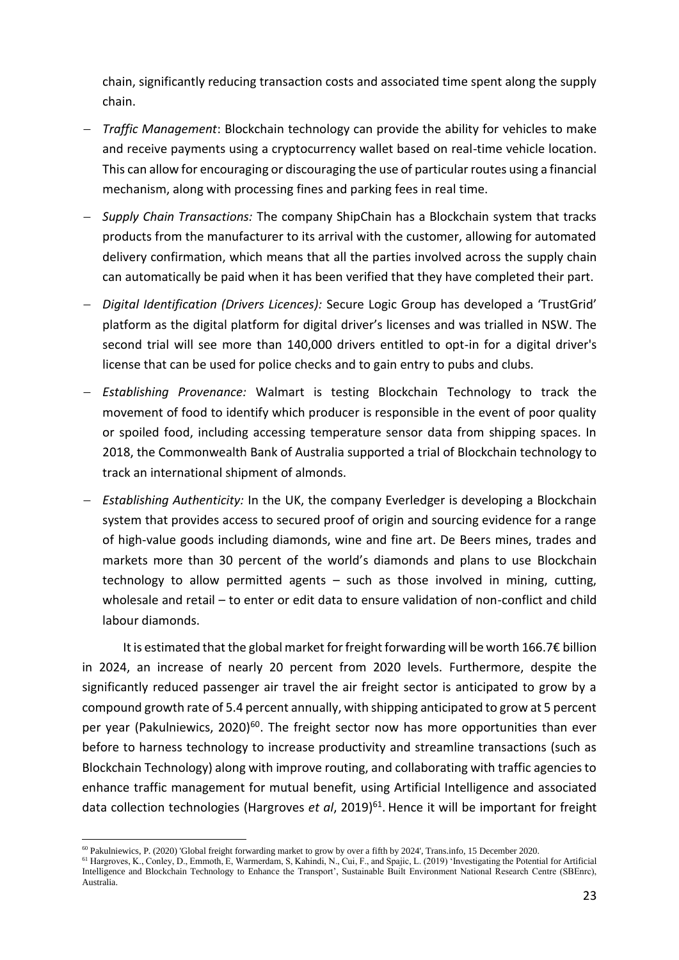chain, significantly reducing transaction costs and associated time spent along the supply chain.

- − *Traffic Management*: Blockchain technology can provide the ability for vehicles to make and receive payments using a cryptocurrency wallet based on real-time vehicle location. This can allow for encouraging or discouraging the use of particular routes using a financial mechanism, along with processing fines and parking fees in real time.
- − *Supply Chain Transactions:* The company ShipChain has a Blockchain system that tracks products from the manufacturer to its arrival with the customer, allowing for automated delivery confirmation, which means that all the parties involved across the supply chain can automatically be paid when it has been verified that they have completed their part.
- − *Digital Identification (Drivers Licences):* Secure Logic Group has developed a 'TrustGrid' platform as the digital platform for digital driver's licenses and was trialled in NSW. The second trial will see more than 140,000 drivers entitled to opt-in for a digital driver's license that can be used for police checks and to gain entry to pubs and clubs.
- − *Establishing Provenance:* Walmart is testing Blockchain Technology to track the movement of food to identify which producer is responsible in the event of poor quality or spoiled food, including accessing temperature sensor data from shipping spaces. In 2018, the Commonwealth Bank of Australia supported a trial of Blockchain technology to track an international shipment of almonds.
- − *Establishing Authenticity:* In the UK, the company Everledger is developing a Blockchain system that provides access to secured proof of origin and sourcing evidence for a range of high-value goods including diamonds, wine and fine art. De Beers mines, trades and markets more than 30 percent of the world's diamonds and plans to use [Blockchain](https://www.bernardmarr.com/default.asp?contentID=1389) technology to allow permitted agents – such as those involved in mining, cutting, wholesale and retail – to enter or edit data to ensure validation of non-conflict and child labour diamonds.

It is estimated that the global market for freight forwarding will be worth 166.7€ billion in 2024, an increase of nearly 20 percent from 2020 levels. Furthermore, despite the significantly reduced passenger air travel the air freight sector is anticipated to grow by a compound growth rate of 5.4 percent annually, with shipping anticipated to grow at 5 percent per year (Pakulniewics, 2020)<sup>60</sup>. The freight sector now has more opportunities than ever before to harness technology to increase productivity and streamline transactions (such as Blockchain Technology) along with improve routing, and collaborating with traffic agencies to enhance traffic management for mutual benefit, using Artificial Intelligence and associated data collection technologies (Hargroves et al, 2019)<sup>61</sup>. Hence it will be important for freight

<sup>60</sup> Pakulniewics, P. (2020) 'Global freight forwarding market to grow by over a fifth by 2024', Trans.info, 15 December 2020.

<sup>61</sup> Hargroves, K., Conley, D., Emmoth, E, Warmerdam, S, Kahindi, N., Cui, F., and Spajic, L. (2019) 'Investigating the Potential for Artificial Intelligence and Blockchain Technology to Enhance the Transport', Sustainable Built Environment National Research Centre (SBEnrc), Australia.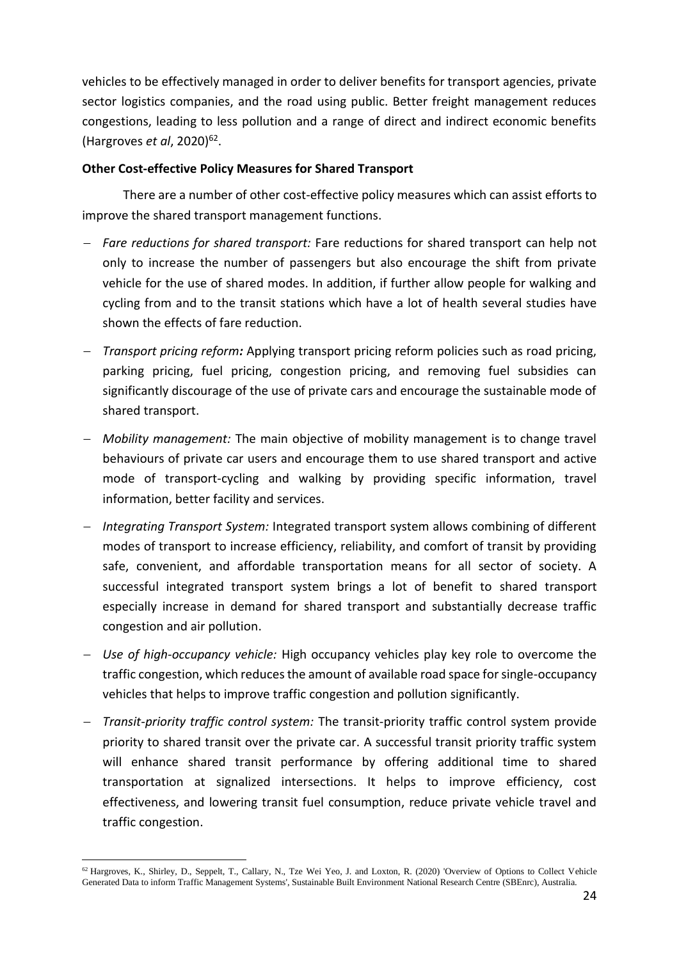vehicles to be effectively managed in order to deliver benefits for transport agencies, private sector logistics companies, and the road using public. Better freight management reduces congestions, leading to less pollution and a range of direct and indirect economic benefits (Hargroves *et al*, 2020)<sup>62</sup> .

#### **Other Cost-effective Policy Measures for Shared Transport**

There are a number of other cost-effective policy measures which can assist efforts to improve the shared transport management functions.

- − *Fare reductions for shared transport:* Fare reductions for shared transport can help not only to increase the number of passengers but also encourage the shift from private vehicle for the use of shared modes. In addition, if further allow people for walking and cycling from and to the transit stations which have a lot of health several studies have shown the effects of fare reduction.
- − *Transport pricing reform:* Applying transport pricing reform policies such as road pricing, parking pricing, fuel pricing, congestion pricing, and removing fuel subsidies can significantly discourage of the use of private cars and encourage the sustainable mode of shared transport.
- − *Mobility management:* The main objective of mobility management is to change travel behaviours of private car users and encourage them to use shared transport and active mode of transport-cycling and walking by providing specific information, travel information, better facility and services.
- − *Integrating Transport System:* Integrated transport system allows combining of different modes of transport to increase efficiency, reliability, and comfort of transit by providing safe, convenient, and affordable transportation means for all sector of society. A successful integrated transport system brings a lot of benefit to shared transport especially increase in demand for shared transport and substantially decrease traffic congestion and air pollution.
- − *Use of high-occupancy vehicle:* High occupancy vehicles play key role to overcome the traffic congestion, which reduces the amount of available road space for single-occupancy vehicles that helps to improve traffic congestion and pollution significantly.
- − *Transit-priority traffic control system:* The transit-priority traffic control system provide priority to shared transit over the private car. A successful transit priority traffic system will enhance shared transit performance by offering additional time to shared transportation at signalized intersections. It helps to improve efficiency, cost effectiveness, and lowering transit fuel consumption, reduce private vehicle travel and traffic congestion.

<sup>62</sup> Hargroves, K., Shirley, D., Seppelt, T., Callary, N., Tze Wei Yeo, J. and Loxton, R. (2020) 'Overview of Options to Collect Vehicle Generated Data to inform Traffic Management Systems', Sustainable Built Environment National Research Centre (SBEnrc), Australia.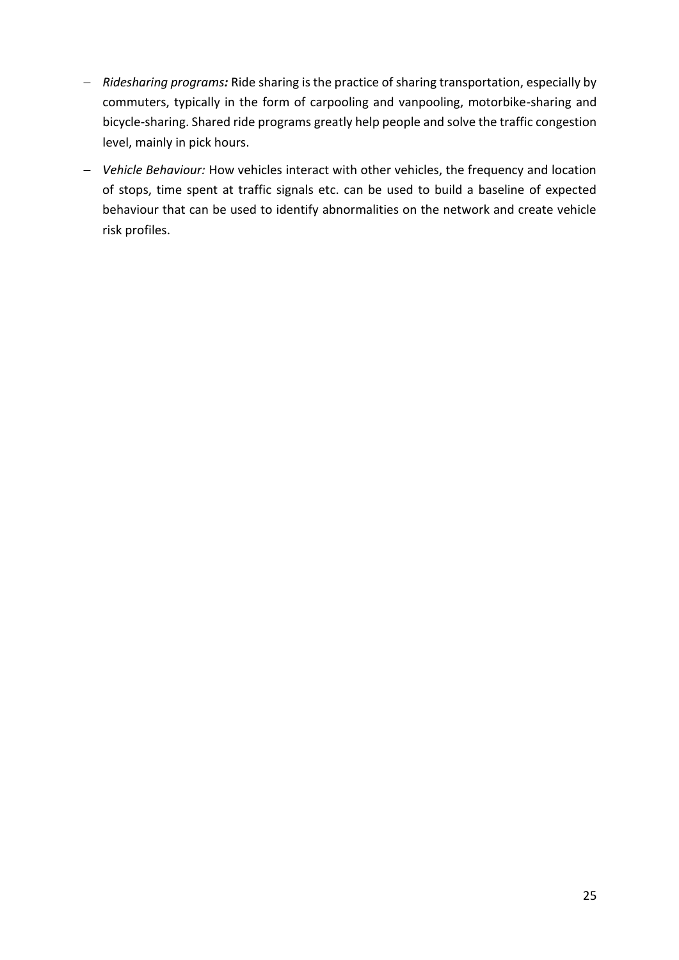- − *Ridesharing programs:* Ride sharing is the practice of sharing transportation, especially by commuters, typically in the form of carpooling and vanpooling, motorbike-sharing and bicycle-sharing. Shared ride programs greatly help people and solve the traffic congestion level, mainly in pick hours.
- − *Vehicle Behaviour:* How vehicles interact with other vehicles, the frequency and location of stops, time spent at traffic signals etc. can be used to build a baseline of expected behaviour that can be used to identify abnormalities on the network and create vehicle risk profiles.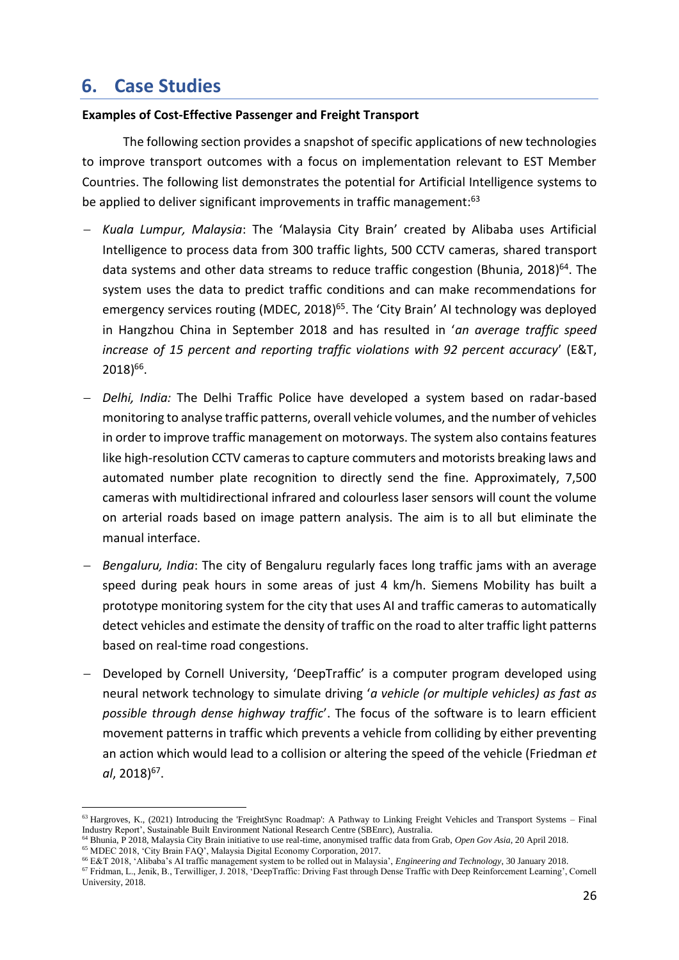# <span id="page-26-0"></span>**6. Case Studies**

#### <span id="page-26-1"></span>**Examples of Cost-Effective Passenger and Freight Transport**

The following section provides a snapshot of specific applications of new technologies to improve transport outcomes with a focus on implementation relevant to EST Member Countries. The following list demonstrates the potential for Artificial Intelligence systems to be applied to deliver significant improvements in traffic management:<sup>63</sup>

- − *Kuala Lumpur, Malaysia*: The 'Malaysia City Brain' created by Alibaba uses Artificial Intelligence to process data from 300 traffic lights, 500 CCTV cameras, shared transport data systems and other data streams to reduce traffic congestion (Bhunia, 2018)<sup>64</sup>. The system uses the data to predict traffic conditions and can make recommendations for emergency services routing (MDEC, 2018)<sup>65</sup>. The 'City Brain' AI technology was deployed in Hangzhou China in September 2018 and has resulted in '*an average traffic speed increase of 15 percent and reporting traffic violations with 92 percent accuracy*' (E&T, 2018) 66 .
- − *Delhi, India:* The Delhi Traffic Police have developed a system based on radar-based monitoring to analyse traffic patterns, overall vehicle volumes, and the number of vehicles in order to improve traffic management on motorways. The system also contains features like high-resolution CCTV cameras to capture commuters and motorists breaking laws and automated number plate recognition to directly send the fine. Approximately, 7,500 cameras with multidirectional infrared and colourless laser sensors will count the volume on arterial roads based on image pattern analysis. The aim is to all but eliminate the manual interface.
- − *Bengaluru, India*: The city of Bengaluru regularly faces long traffic jams with an average speed during peak hours in some areas of just 4 km/h. Siemens Mobility has built a prototype monitoring system for the city that uses AI and traffic cameras to automatically detect vehicles and estimate the density of traffic on the road to alter traffic light patterns based on real-time road congestions.
- − Developed by Cornell University, 'DeepTraffic' is a computer program developed using neural network technology to simulate driving '*a vehicle (or multiple vehicles) as fast as possible through dense highway traffic*'. The focus of the software is to learn efficient movement patterns in traffic which prevents a vehicle from colliding by either preventing an action which would lead to a collision or altering the speed of the vehicle (Friedman *et al*, 2018) 67 .

 $63$  Hargroves, K., (2021) Introducing the 'FreightSync Roadmap': A Pathway to Linking Freight Vehicles and Transport Systems – Final Industry Report', Sustainable Built Environment National Research Centre (SBEnrc), Australia.

<sup>64</sup> Bhunia, P 2018, Malaysia City Brain initiative to use real-time, anonymised traffic data from Grab, *Open Gov Asia*, 20 April 2018. <sup>65</sup> MDEC 2018, 'City Brain FAQ', Malaysia Digital Economy Corporation, 2017.

<sup>66</sup> E&T 2018, 'Alibaba's AI traffic management system to be rolled out in Malaysia', *Engineering and Technology*, 30 January 2018. <sup>67</sup> Fridman, L., Jenik, B., Terwilliger, J. 2018, 'DeepTraffic: Driving Fast through Dense Traffic with Deep Reinforcement Learning', Cornell University, 2018.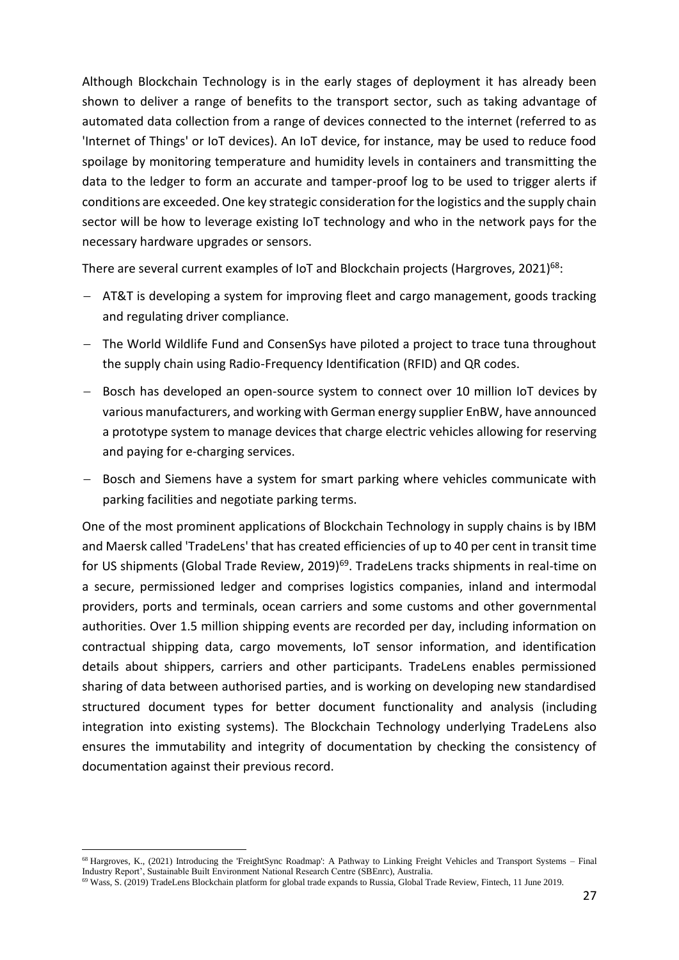Although Blockchain Technology is in the early stages of deployment it has already been shown to deliver a range of benefits to the transport sector, such as taking advantage of automated data collection from a range of devices connected to the internet (referred to as 'Internet of Things' or IoT devices). An IoT device, for instance, may be used to reduce food spoilage by monitoring temperature and humidity levels in containers and transmitting the data to the ledger to form an accurate and tamper-proof log to be used to trigger alerts if conditions are exceeded. One key strategic consideration for the logistics and the supply chain sector will be how to leverage existing IoT technology and who in the network pays for the necessary hardware upgrades or sensors.

There are several current examples of IoT and Blockchain projects (Hargroves, 2021)<sup>68</sup>:

- − AT&T is developing a system for improving fleet and cargo management, goods tracking and regulating driver compliance.
- − The World Wildlife Fund and ConsenSys have piloted a project to trace tuna throughout the supply chain using Radio-Frequency Identification (RFID) and QR codes.
- − Bosch has developed an open-source system to connect over 10 million IoT devices by various manufacturers, and working with German energy supplier EnBW, have announced a prototype system to manage devices that charge electric vehicles allowing for reserving and paying for e-charging services.
- − Bosch and Siemens have a system for smart parking where vehicles communicate with parking facilities and negotiate parking terms.

One of the most prominent applications of Blockchain Technology in supply chains is by IBM and Maersk called 'TradeLens' that has created efficiencies of up to 40 per cent in transit time for US shipments (Global Trade Review, 2019)<sup>69</sup>. TradeLens tracks shipments in real-time on a secure, permissioned ledger and comprises logistics companies, inland and intermodal providers, ports and terminals, ocean carriers and some customs and other governmental authorities. Over 1.5 million shipping events are recorded per day, including information on contractual shipping data, cargo movements, IoT sensor information, and identification details about shippers, carriers and other participants. TradeLens enables permissioned sharing of data between authorised parties, and is working on developing new standardised structured document types for better document functionality and analysis (including integration into existing systems). The Blockchain Technology underlying TradeLens also ensures the immutability and integrity of documentation by checking the consistency of documentation against their previous record.

<sup>68</sup> Hargroves, K., (2021) Introducing the 'FreightSync Roadmap': A Pathway to Linking Freight Vehicles and Transport Systems – Final Industry Report', Sustainable Built Environment National Research Centre (SBEnrc), Australia.

<sup>69</sup> Wass, S. (2019) TradeLens Blockchain platform for global trade expands to Russia, Global Trade Review, Fintech, 11 June 2019.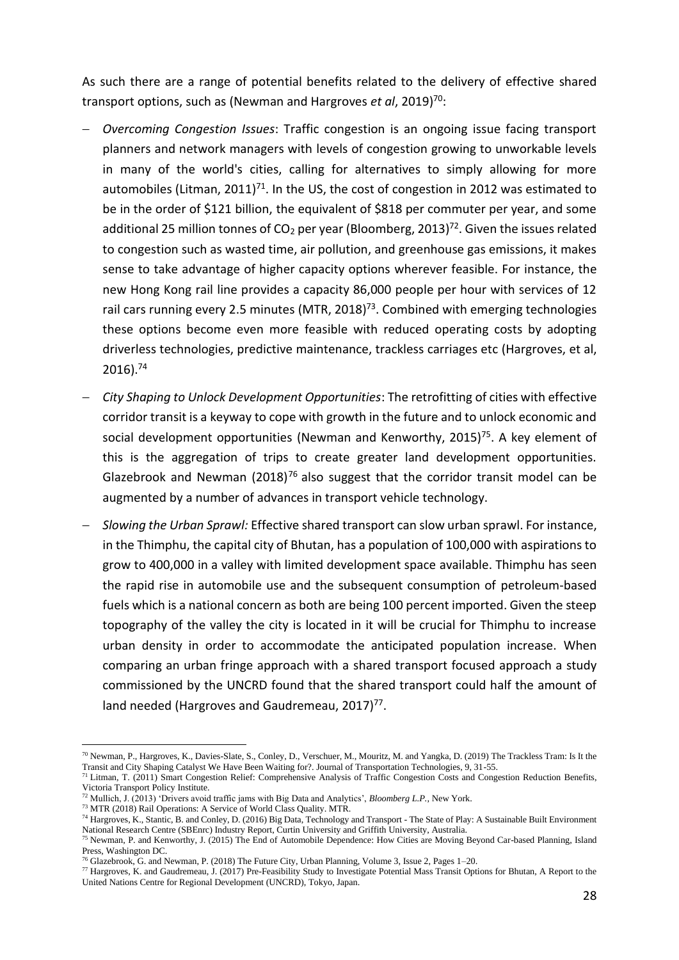As such there are a range of potential benefits related to the delivery of effective shared transport options, such as (Newman and Hargroves *et al*, 2019)<sup>70</sup>:

- − *Overcoming Congestion Issues*: Traffic congestion is an ongoing issue facing transport planners and network managers with levels of congestion growing to unworkable levels in many of the world's cities, calling for alternatives to simply allowing for more automobiles (Litman, 2011)<sup>71</sup>. In the US, the cost of congestion in 2012 was estimated to be in the order of \$121 billion, the equivalent of \$818 per commuter per year, and some additional 25 million tonnes of CO<sub>2</sub> per year (Bloomberg, 2013)<sup>72</sup>. Given the issues related to congestion such as wasted time, air pollution, and greenhouse gas emissions, it makes sense to take advantage of higher capacity options wherever feasible. For instance, the new Hong Kong rail line provides a capacity 86,000 people per hour with services of 12 rail cars running every 2.5 minutes (MTR, 2018)<sup>73</sup>. Combined with emerging technologies these options become even more feasible with reduced operating costs by adopting driverless technologies, predictive maintenance, trackless carriages etc (Hargroves, et al, 2016). 74
- − *City Shaping to Unlock Development Opportunities*: The retrofitting of cities with effective corridor transit is a keyway to cope with growth in the future and to unlock economic and social development opportunities (Newman and Kenworthy, 2015)<sup>75</sup>. A key element of this is the aggregation of trips to create greater land development opportunities. Glazebrook and Newman (2018)<sup>76</sup> also suggest that the corridor transit model can be augmented by a number of advances in transport vehicle technology.
- − *Slowing the Urban Sprawl:* Effective shared transport can slow urban sprawl. For instance, in the Thimphu, the capital city of Bhutan, has a population of 100,000 with aspirations to grow to 400,000 in a valley with limited development space available. Thimphu has seen the rapid rise in automobile use and the subsequent consumption of petroleum-based fuels which is a national concern as both are being 100 percent imported. Given the steep topography of the valley the city is located in it will be crucial for Thimphu to increase urban density in order to accommodate the anticipated population increase. When comparing an urban fringe approach with a shared transport focused approach a study commissioned by the UNCRD found that the shared transport could half the amount of land needed (Hargroves and Gaudremeau, 2017)<sup>77</sup>.

<sup>70</sup> Newman, P., Hargroves, K., Davies-Slate, S., Conley, D., Verschuer, M., Mouritz, M. and Yangka, D. (2019) The Trackless Tram: Is It the Transit and City Shaping Catalyst We Have Been Waiting for?. Journal of Transportation Technologies, 9, 31-55.

<sup>71</sup> Litman, T. (2011) Smart Congestion Relief: Comprehensive Analysis of Traffic Congestion Costs and Congestion Reduction Benefits, Victoria Transport Policy Institute.

<sup>72</sup> Mullich, J. (2013) 'Drivers avoid traffic jams with Big Data and Analytics', *Bloomberg L.P.,* New York.

<sup>73</sup> MTR (2018) Rail Operations: A Service of World Class Quality. MTR.

<sup>74</sup> Hargroves, K., Stantic, B. and Conley, D. (2016) Big Data, Technology and Transport - The State of Play: A Sustainable Built Environment National Research Centre (SBEnrc) Industry Report, Curtin University and Griffith University, Australia.

<sup>75</sup> Newman, P. and Kenworthy, J. (2015) The End of Automobile Dependence: How Cities are Moving Beyond Car-based Planning, Island Press, Washington DC.

<sup>&</sup>lt;sup>76</sup> Glazebrook, G. and Newman, P. (2018) The Future City, Urban Planning, Volume 3, Issue 2, Pages  $1-20$ .

<sup>77</sup> Hargroves, K. and Gaudremeau, J. (2017) Pre-Feasibility Study to Investigate Potential Mass Transit Options for Bhutan, A Report to the United Nations Centre for Regional Development (UNCRD), Tokyo, Japan.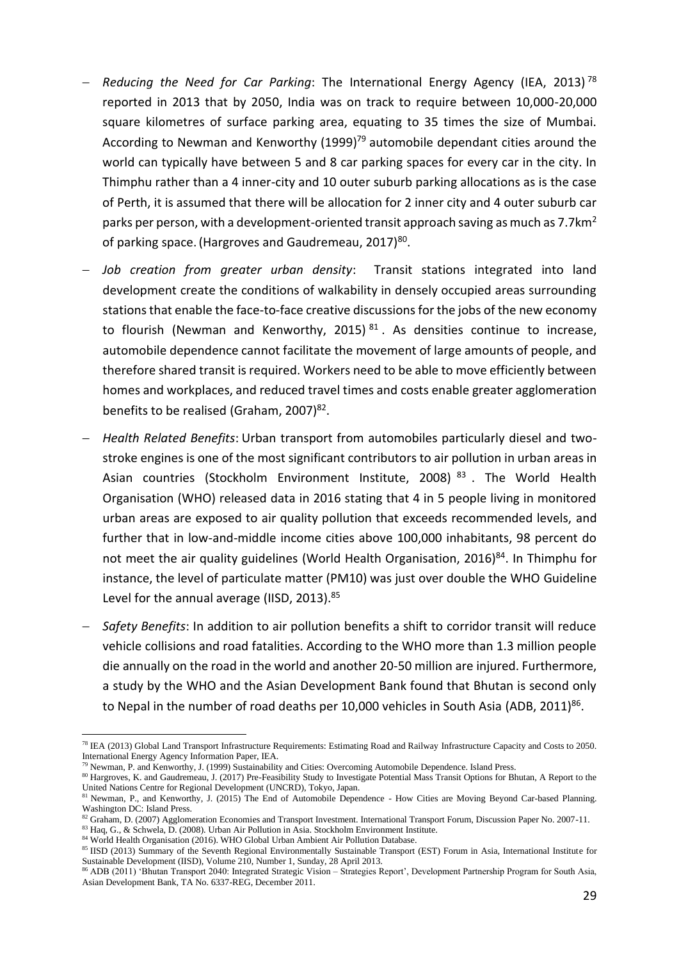- − *Reducing the Need for Car Parking*: The International Energy Agency (IEA, 2013) 78 reported in 2013 that by 2050, India was on track to require between 10,000-20,000 square kilometres of surface parking area, equating to 35 times the size of Mumbai. According to Newman and Kenworthy (1999)<sup>79</sup> automobile dependant cities around the world can typically have between 5 and 8 car parking spaces for every car in the city. In Thimphu rather than a 4 inner-city and 10 outer suburb parking allocations as is the case of Perth, it is assumed that there will be allocation for 2 inner city and 4 outer suburb car parks per person, with a development-oriented transit approach saving as much as  $7.7 \text{km}^2$ of parking space. (Hargroves and Gaudremeau, 2017)<sup>80</sup>.
- − *Job creation from greater urban density*: Transit stations integrated into land development create the conditions of walkability in densely occupied areas surrounding stations that enable the face-to-face creative discussions for the jobs of the new economy to flourish (Newman and Kenworthy, 2015)<sup>81</sup>. As densities continue to increase, automobile dependence cannot facilitate the movement of large amounts of people, and therefore shared transit is required. Workers need to be able to move efficiently between homes and workplaces, and reduced travel times and costs enable greater agglomeration benefits to be realised (Graham, 2007)<sup>82</sup>.
- − *Health Related Benefits*: Urban transport from automobiles particularly diesel and twostroke engines is one of the most significant contributors to air pollution in urban areas in Asian countries (Stockholm Environment Institute, 2008)<sup>83</sup>. The World Health Organisation (WHO) released data in 2016 stating that 4 in 5 people living in monitored urban areas are exposed to air quality pollution that exceeds recommended levels, and further that in low-and-middle income cities above 100,000 inhabitants, 98 percent do not meet the air quality guidelines (World Health Organisation, 2016)<sup>84</sup>. In Thimphu for instance, the level of particulate matter (PM10) was just over double the WHO Guideline Level for the annual average (IISD, 2013).<sup>85</sup>
- − *Safety Benefits*: In addition to air pollution benefits a shift to corridor transit will reduce vehicle collisions and road fatalities. According to the WHO more than 1.3 million people die annually on the road in the world and another 20-50 million are injured. Furthermore, a study by the WHO and the Asian Development Bank found that Bhutan is second only to Nepal in the number of road deaths per 10,000 vehicles in South Asia (ADB, 2011)<sup>86</sup>.

<sup>78</sup> IEA (2013) Global Land Transport Infrastructure Requirements: Estimating Road and Railway Infrastructure Capacity and Costs to 2050. International Energy Agency Information Paper, IEA.

<sup>79</sup> Newman, P. and Kenworthy, J. (1999) Sustainability and Cities: Overcoming Automobile Dependence. Island Press.

<sup>80</sup> Hargroves, K. and Gaudremeau, J. (2017) Pre-Feasibility Study to Investigate Potential Mass Transit Options for Bhutan, A Report to the United Nations Centre for Regional Development (UNCRD), Tokyo, Japan.

<sup>81</sup> Newman, P., and Kenworthy, J. (2015) The End of Automobile Dependence - How Cities are Moving Beyond Car-based Planning. Washington DC: Island Press.

<sup>&</sup>lt;sup>82</sup> Graham, D. (2007) Agglomeration Economies and Transport Investment. International Transport Forum, Discussion Paper No. 2007-11. 83 Haq, G., & Schwela, D. (2008). Urban Air Pollution in Asia. Stockholm Environment Institute.

<sup>84</sup> World Health Organisation (2016). WHO Global Urban Ambient Air Pollution Database.

<sup>85</sup> IISD (2013) Summary of the Seventh Regional Environmentally Sustainable Transport (EST) Forum in Asia, International Institute for Sustainable Development (IISD), Volume 210, Number 1, Sunday, 28 April 2013.

<sup>86</sup> ADB (2011) 'Bhutan Transport 2040: Integrated Strategic Vision – Strategies Report', Development Partnership Program for South Asia, Asian Development Bank, TA No. 6337-REG, December 2011.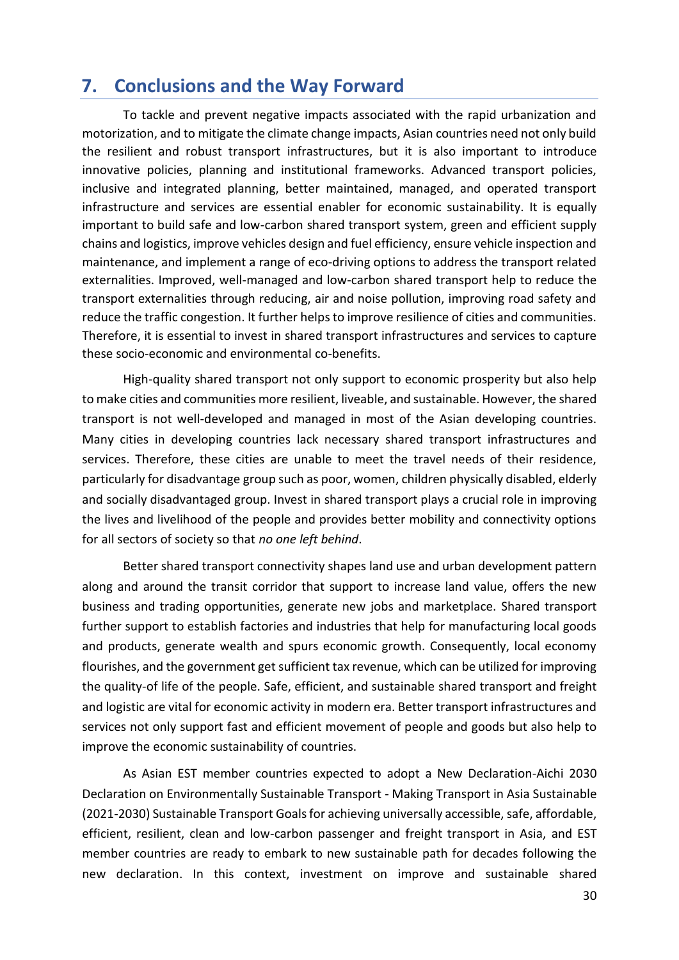### <span id="page-30-0"></span>**7. Conclusions and the Way Forward**

To tackle and prevent negative impacts associated with the rapid urbanization and motorization, and to mitigate the climate change impacts, Asian countries need not only build the resilient and robust transport infrastructures, but it is also important to introduce innovative policies, planning and institutional frameworks. Advanced transport policies, inclusive and integrated planning, better maintained, managed, and operated transport infrastructure and services are essential enabler for economic sustainability. It is equally important to build safe and low-carbon shared transport system, green and efficient supply chains and logistics, improve vehicles design and fuel efficiency, ensure vehicle inspection and maintenance, and implement a range of eco-driving options to address the transport related externalities. Improved, well-managed and low-carbon shared transport help to reduce the transport externalities through reducing, air and noise pollution, improving road safety and reduce the traffic congestion. It further helps to improve resilience of cities and communities. Therefore, it is essential to invest in shared transport infrastructures and services to capture these socio-economic and environmental co-benefits.

High-quality shared transport not only support to economic prosperity but also help to make cities and communities more resilient, liveable, and sustainable. However, the shared transport is not well-developed and managed in most of the Asian developing countries. Many cities in developing countries lack necessary shared transport infrastructures and services. Therefore, these cities are unable to meet the travel needs of their residence, particularly for disadvantage group such as poor, women, children physically disabled, elderly and socially disadvantaged group. Invest in shared transport plays a crucial role in improving the lives and livelihood of the people and provides better mobility and connectivity options for all sectors of society so that *no one left behind*.

Better shared transport connectivity shapes land use and urban development pattern along and around the transit corridor that support to increase land value, offers the new business and trading opportunities, generate new jobs and marketplace. Shared transport further support to establish factories and industries that help for manufacturing local goods and products, generate wealth and spurs economic growth. Consequently, local economy flourishes, and the government get sufficient tax revenue, which can be utilized for improving the quality-of life of the people. Safe, efficient, and sustainable shared transport and freight and logistic are vital for economic activity in modern era. Better transport infrastructures and services not only support fast and efficient movement of people and goods but also help to improve the economic sustainability of countries.

As Asian EST member countries expected to adopt a New Declaration-Aichi 2030 Declaration on Environmentally Sustainable Transport - Making Transport in Asia Sustainable (2021-2030) Sustainable Transport Goals for achieving universally accessible, safe, affordable, efficient, resilient, clean and low-carbon passenger and freight transport in Asia, and EST member countries are ready to embark to new sustainable path for decades following the new declaration. In this context, investment on improve and sustainable shared